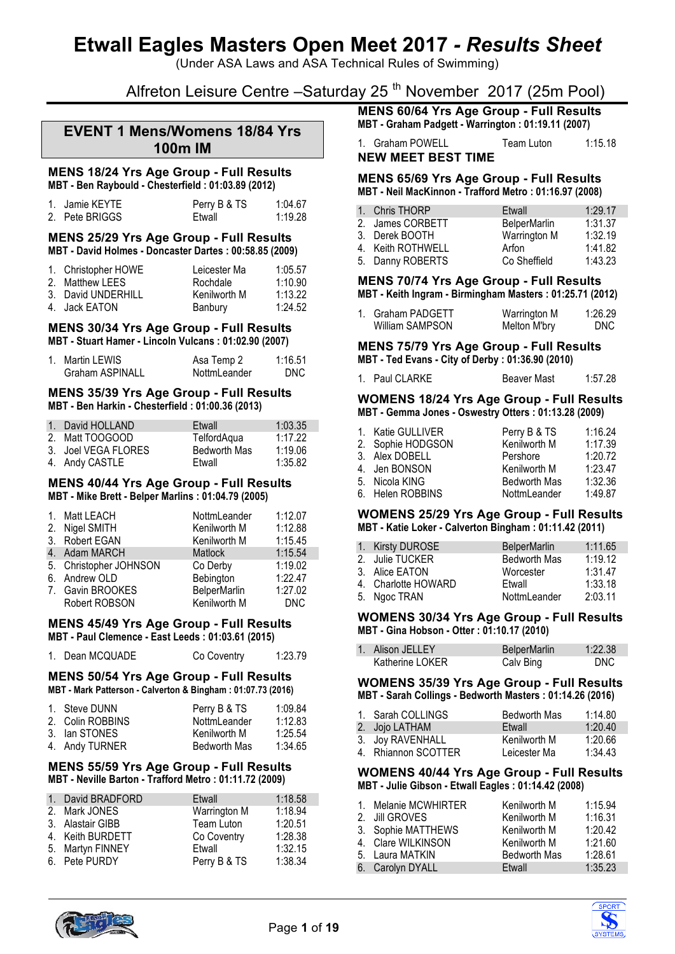(Under ASA Laws and ASA Technical Rules of Swimming)

# Alfreton Leisure Centre –Saturday 25<sup>th</sup> November 2017 (25m Pool)

## **EVENT 1 Mens/Womens 18/84 Yrs 100m IM**

#### **MENS 18/24 Yrs Age Group - Full Results MBT - Ben Raybould - Chesterfield : 01:03.89 (2012)**

| 1. Jamie KEYTE | Perry B & TS | 1:04.67 |
|----------------|--------------|---------|
| 2. Pete BRIGGS | Etwall       | 1:19.28 |

#### **MENS 25/29 Yrs Age Group - Full Results MBT - David Holmes - Doncaster Dartes : 00:58.85 (2009)**

| 1. Christopher HOWE | Leicester Ma | 1:05.57 |
|---------------------|--------------|---------|
| 2. Matthew LEES     | Rochdale     | 1:10.90 |
| 3. David UNDERHILL  | Kenilworth M | 1:13.22 |
| 4. Jack EATON       | Banbury      | 1:24.52 |

#### **MENS 30/34 Yrs Age Group - Full Results MBT - Stuart Hamer - Lincoln Vulcans : 01:02.90 (2007)**

| 1. Martin LEWIS        | Asa Temp 2   | 1:16.51 |
|------------------------|--------------|---------|
| <b>Graham ASPINALL</b> | NottmLeander | DNC.    |

#### **MENS 35/39 Yrs Age Group - Full Results MBT - Ben Harkin - Chesterfield : 01:00.36 (2013)**

| 1. David HOLLAND    | Etwall              | 1:03.35 |
|---------------------|---------------------|---------|
| 2. Matt TOOGOOD     | TelfordAqua         | 1:17.22 |
| 3. Joel VEGA FLORES | <b>Bedworth Mas</b> | 1:19.06 |
| 4. Andy CASTLE      | Etwall              | 1:35.82 |

#### **MENS 40/44 Yrs Age Group - Full Results MBT - Mike Brett - Belper Marlins : 01:04.79 (2005)**

| 1. Matt LEACH          | NottmLeander        | 1:12.07    |
|------------------------|---------------------|------------|
| 2. Nigel SMITH         | Kenilworth M        | 1:12.88    |
| 3. Robert EGAN         | Kenilworth M        | 1:15.45    |
| 4. Adam MARCH          | <b>Matlock</b>      | 1:15.54    |
| 5. Christopher JOHNSON | Co Derby            | 1:19.02    |
| 6. Andrew OLD          | Bebington           | 1:22.47    |
| 7. Gavin BROOKES       | <b>BelperMarlin</b> | 1:27.02    |
| Robert ROBSON          | Kenilworth M        | <b>DNC</b> |

#### **MENS 45/49 Yrs Age Group - Full Results MBT - Paul Clemence - East Leeds : 01:03.61 (2015)**

| 1. Dean MCQUADE | Co Coventry | 1:23.79 |
|-----------------|-------------|---------|
|                 |             |         |

#### **MENS 50/54 Yrs Age Group - Full Results MBT - Mark Patterson - Calverton & Bingham : 01:07.73 (2016)**

| 1. Steve DUNN    | Perry B & TS        | 1:09.84 |
|------------------|---------------------|---------|
| 2. Colin ROBBINS | NottmLeander        | 1:12.83 |
| 3. Ian STONES    | Kenilworth M        | 1:25.54 |
| 4. Andy TURNER   | <b>Bedworth Mas</b> | 1:34.65 |

#### **MENS 55/59 Yrs Age Group - Full Results MBT - Neville Barton - Trafford Metro : 01:11.72 (2009)**

| 1. David BRADFORD | Etwall       | 1:18.58 |
|-------------------|--------------|---------|
| 2. Mark JONES     | Warrington M | 1:18.94 |
| 3. Alastair GIBB  | Team Luton   | 1:20.51 |
| 4. Keith BURDETT  | Co Coventry  | 1:28.38 |
| 5. Martyn FINNEY  | Etwall       | 1:32.15 |
| 6. Pete PURDY     | Perry B & TS | 1:38.34 |

**MENS 60/64 Yrs Age Group - Full Results**

**MBT - Graham Padgett - Warrington : 01:19.11 (2007)**

1. Graham POWELL Team Luton 1:15.18 **NEW MEET BEST TIME**

#### **MENS 65/69 Yrs Age Group - Full Results MBT - Neil MacKinnon - Trafford Metro : 01:16.97 (2008)**

| 1. Chris THORP    | Etwall              | 1:29.17 |
|-------------------|---------------------|---------|
| 2. James CORBETT  | <b>BelperMarlin</b> | 1:31.37 |
| 3. Derek BOOTH    | Warrington M        | 1:32.19 |
| 4. Keith ROTHWELL | Arfon               | 1:41.82 |
| 5. Danny ROBERTS  | Co Sheffield        | 1:43.23 |

#### **MENS 70/74 Yrs Age Group - Full Results MBT - Keith Ingram - Birmingham Masters : 01:25.71 (2012)**

| 1. Graham PADGETT | Warrington M | 1:26.29 |
|-------------------|--------------|---------|
| William SAMPSON   | Melton M'bry | DNC.    |

#### **MENS 75/79 Yrs Age Group - Full Results MBT - Ted Evans - City of Derby : 01:36.90 (2010)**

1. Paul CLARKE Beaver Mast 1:57.28

#### **WOMENS 18/24 Yrs Age Group - Full Results MBT - Gemma Jones - Oswestry Otters : 01:13.28 (2009)**

| 1. Katie GULLIVER | Perry B & TS        | 1:16.24 |
|-------------------|---------------------|---------|
| 2. Sophie HODGSON | Kenilworth M        | 1:17.39 |
| 3. Alex DOBELL    | Pershore            | 1:20.72 |
| 4. Jen BONSON     | Kenilworth M        | 1:23.47 |
| 5. Nicola KING    | <b>Bedworth Mas</b> | 1:32.36 |
| 6. Helen ROBBINS  | NottmLeander        | 1:49.87 |

#### **WOMENS 25/29 Yrs Age Group - Full Results MBT - Katie Loker - Calverton Bingham : 01:11.42 (2011)**

| 1. Kirsty DUROSE    | <b>BelperMarlin</b> | 1:11.65 |
|---------------------|---------------------|---------|
| 2. Julie TUCKER     | <b>Bedworth Mas</b> | 1:19.12 |
| 3. Alice EATON      | Worcester           | 1:31.47 |
| 4. Charlotte HOWARD | Etwall              | 1:33.18 |
| 5. Ngoc TRAN        | NottmLeander        | 2:03.11 |

#### **WOMENS 30/34 Yrs Age Group - Full Results MBT - Gina Hobson - Otter : 01:10.17 (2010)**

| 1. Alison JELLEY | BelperMarlin | 1:22.38    |
|------------------|--------------|------------|
| Katherine LOKER  | Calv Bing    | <b>DNC</b> |

#### **WOMENS 35/39 Yrs Age Group - Full Results MBT - Sarah Collings - Bedworth Masters : 01:14.26 (2016)**

| 1. Sarah COLLINGS   | <b>Bedworth Mas</b> | 1:14.80 |
|---------------------|---------------------|---------|
| 2. Jojo LATHAM      | Etwall              | 1:20.40 |
| 3. Joy RAVENHALL    | Kenilworth M        | 1:20.66 |
| 4. Rhiannon SCOTTER | Leicester Ma        | 1:34.43 |

#### **WOMENS 40/44 Yrs Age Group - Full Results MBT - Julie Gibson - Etwall Eagles : 01:14.42 (2008)**

| 1. Melanie MCWHIRTER | Kenilworth M        | 1:15.94 |
|----------------------|---------------------|---------|
| 2. Jill GROVES       | Kenilworth M        | 1:16.31 |
| 3. Sophie MATTHEWS   | Kenilworth M        | 1:20.42 |
| 4. Clare WILKINSON   | Kenilworth M        | 1:21.60 |
| 5. Laura MATKIN      | <b>Bedworth Mas</b> | 1:28.61 |
| 6. Carolyn DYALL     | Etwall              | 1:35.23 |



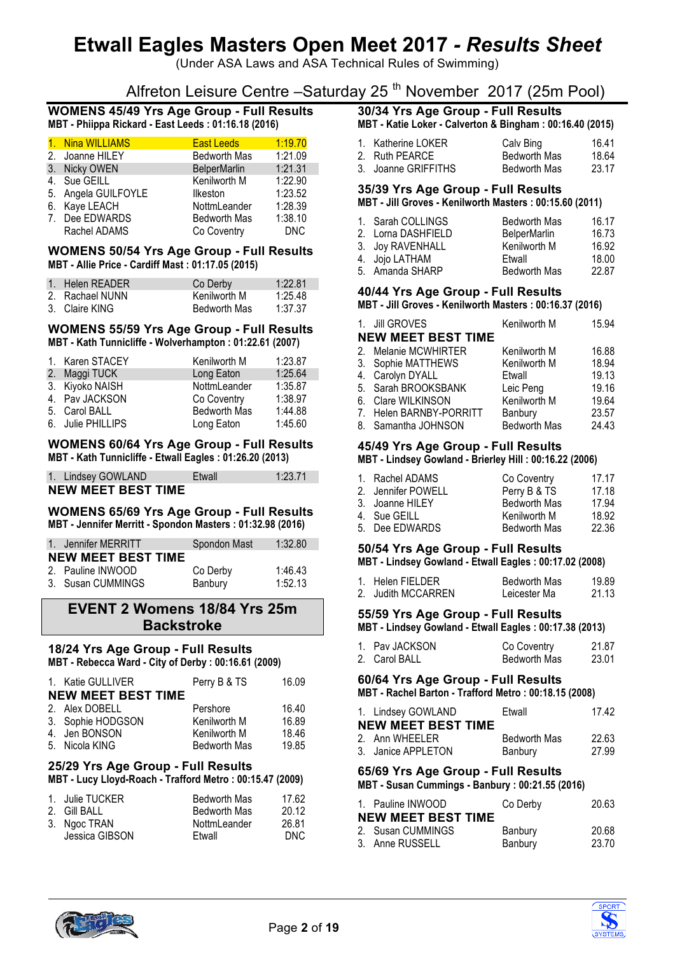(Under ASA Laws and ASA Technical Rules of Swimming)

# Alfreton Leisure Centre –Saturday 25<sup>th</sup> November 2017 (25m Pool)

#### **WOMENS 45/49 Yrs Age Group - Full Results MBT - Phiippa Rickard - East Leeds : 01:16.18 (2016)**

| 1. Nina WILLIAMS    | <b>East Leeds</b>   | 1:19.70    |
|---------------------|---------------------|------------|
| 2. Joanne HILEY     | <b>Bedworth Mas</b> | 1:21.09    |
| 3. Nicky OWEN       | <b>BelperMarlin</b> | 1:21.31    |
| 4. Sue GEILL        | Kenilworth M        | 1:22.90    |
| 5. Angela GUILFOYLE | Ilkeston            | 1:23.52    |
| 6. Kaye LEACH       | NottmLeander        | 1:28.39    |
| 7. Dee EDWARDS      | <b>Bedworth Mas</b> | 1:38.10    |
| Rachel ADAMS        | Co Coventry         | <b>DNC</b> |

#### **WOMENS 50/54 Yrs Age Group - Full Results MBT - Allie Price - Cardiff Mast : 01:17.05 (2015)**

| 1. Helen READER | Co Derby            | 1:22.81 |
|-----------------|---------------------|---------|
| 2. Rachael NUNN | Kenilworth M        | 1:25.48 |
| 3. Claire KING  | <b>Bedworth Mas</b> | 1:37.37 |

#### **WOMENS 55/59 Yrs Age Group - Full Results MBT - Kath Tunnicliffe - Wolverhampton : 01:22.61 (2007)**

| 1. Karen STACEY   | Kenilworth M        | 1:23.87 |
|-------------------|---------------------|---------|
| 2. Maggi TUCK     | Long Eaton          | 1:25.64 |
| 3. Kiyoko NAISH   | NottmLeander        | 1:35.87 |
| 4. Pav JACKSON    | Co Coventry         | 1:38.97 |
| 5. Carol BALL     | <b>Bedworth Mas</b> | 1:44.88 |
| 6. Julie PHILLIPS | Long Eaton          | 1:45.60 |

#### **WOMENS 60/64 Yrs Age Group - Full Results MBT - Kath Tunnicliffe - Etwall Eagles : 01:26.20 (2013)**

1. Lindsey GOWLAND Etwall 1:23.71

**NEW MEET BEST TIME**

#### **WOMENS 65/69 Yrs Age Group - Full Results MBT - Jennifer Merritt - Spondon Masters : 01:32.98 (2016)**

| 1. Jennifer MERRITT       | Spondon Mast | 1:32.80 |
|---------------------------|--------------|---------|
| <b>NEW MEET BEST TIME</b> |              |         |
| 2. Pauline INWOOD         | Co Derby     | 1:46.43 |
| 3. Susan CUMMINGS         | Banbury      | 1:52.13 |

## **EVENT 2 Womens 18/84 Yrs 25m Backstroke**

# **18/24 Yrs Age Group - Full Results**

**MBT - Rebecca Ward - City of Derby : 00:16.61 (2009)**

| 1. Katie GULLIVER         | Perry B & TS        | 16.09 |
|---------------------------|---------------------|-------|
| <b>NEW MEET BEST TIME</b> |                     |       |
| 2. Alex DOBELL            | Pershore            | 16.40 |
| 3. Sophie HODGSON         | Kenilworth M        | 16.89 |
| 4. Jen BONSON             | Kenilworth M        | 18.46 |
| 5. Nicola KING            | <b>Bedworth Mas</b> | 19.85 |

### **25/29 Yrs Age Group - Full Results**

**MBT - Lucy Lloyd-Roach - Trafford Metro : 00:15.47 (2009)**

| 1. Julie TUCKER | <b>Bedworth Mas</b> | 17.62 |
|-----------------|---------------------|-------|
| 2. Gill BALL    | <b>Bedworth Mas</b> | 20.12 |
| 3. Ngoc TRAN    | NottmLeander        | 26.81 |
| Jessica GIBSON  | Etwall              | DNC.  |

# **30/34 Yrs Age Group - Full Results**

**MBT - Katie Loker - Calverton & Bingham : 00:16.40 (2015)**

| 1. Katherine LOKER  | Calv Bing    | 16.41 |
|---------------------|--------------|-------|
| 2. Ruth PEARCE      | Bedworth Mas | 18.64 |
| 3. Joanne GRIFFITHS | Bedworth Mas | 23.17 |

# **35/39 Yrs Age Group - Full Results**

## **MBT - Jill Groves - Kenilworth Masters : 00:15.60 (2011)**

| 1. Sarah COLLINGS  | <b>Bedworth Mas</b> | 16.17 |
|--------------------|---------------------|-------|
| 2. Lorna DASHFIELD | <b>BelperMarlin</b> | 16.73 |
| 3. Joy RAVENHALL   | Kenilworth M        | 16.92 |
| 4. Jojo LATHAM     | Etwall              | 18.00 |
| 5. Amanda SHARP    | <b>Bedworth Mas</b> | 22.87 |

## **40/44 Yrs Age Group - Full Results**

**MBT - Jill Groves - Kenilworth Masters : 00:16.37 (2016)**

| 1. Jill GROVES            | Kenilworth M        | 15.94 |
|---------------------------|---------------------|-------|
| <b>NEW MEET BEST TIME</b> |                     |       |
| 2. Melanie MCWHIRTER      | Kenilworth M        | 16.88 |
| 3. Sophie MATTHEWS        | Kenilworth M        | 18.94 |
| 4. Carolyn DYALL          | Etwall              | 19.13 |
| 5. Sarah BROOKSBANK       | Leic Peng           | 19.16 |
| 6. Clare WILKINSON        | Kenilworth M        | 19.64 |
| 7. Helen BARNBY-PORRITT   | Banbury             | 23.57 |
| 8. Samantha JOHNSON       | <b>Bedworth Mas</b> | 24.43 |

#### **45/49 Yrs Age Group - Full Results MBT - Lindsey Gowland - Brierley Hill : 00:16.22 (2006)**

| 1. Rachel ADAMS    | Co Coventry         | 17 17 |
|--------------------|---------------------|-------|
| 2. Jennifer POWELL | Perry B & TS        | 17.18 |
| 3. Joanne HILEY    | <b>Bedworth Mas</b> | 17.94 |
| 4. Sue GEILL       | Kenilworth M        | 18.92 |
| 5. Dee EDWARDS     | <b>Bedworth Mas</b> | 22.36 |

# **50/54 Yrs Age Group - Full Results**

**MBT - Lindsey Gowland - Etwall Eagles : 00:17.02 (2008)**

| 1. Helen FIELDER   | Bedworth Mas | 19.89 |
|--------------------|--------------|-------|
|                    |              |       |
| 2. Judith MCCARREN | Leicester Ma | 21.13 |

## **55/59 Yrs Age Group - Full Results**

**MBT - Lindsey Gowland - Etwall Eagles : 00:17.38 (2013)**

| 1. Pav JACKSON | Co Coventry         | 21.87 |
|----------------|---------------------|-------|
| 2. Carol BALL  | <b>Bedworth Mas</b> | 23.01 |

#### **60/64 Yrs Age Group - Full Results MBT - Rachel Barton - Trafford Metro : 00:18.15 (2008)**

| 1. Lindsey GOWLAND        | Etwall       | 17.42 |
|---------------------------|--------------|-------|
| <b>NEW MEET BEST TIME</b> |              |       |
| 2. Ann WHFFLFR            | Bedworth Mas | 22.63 |
| 3. Janice APPLETON        | Banbury      | 27.99 |

# **65/69 Yrs Age Group - Full Results**

**MBT - Susan Cummings - Banbury : 00:21.55 (2016)**

| 1. Pauline INWOOD         | Co Derby | 20.63 |
|---------------------------|----------|-------|
| <b>NEW MEET BEST TIME</b> |          |       |
| 2. Susan CUMMINGS         | Banbury  | 20.68 |
| 3. Anne RUSSELL           | Banbury  | 23.70 |



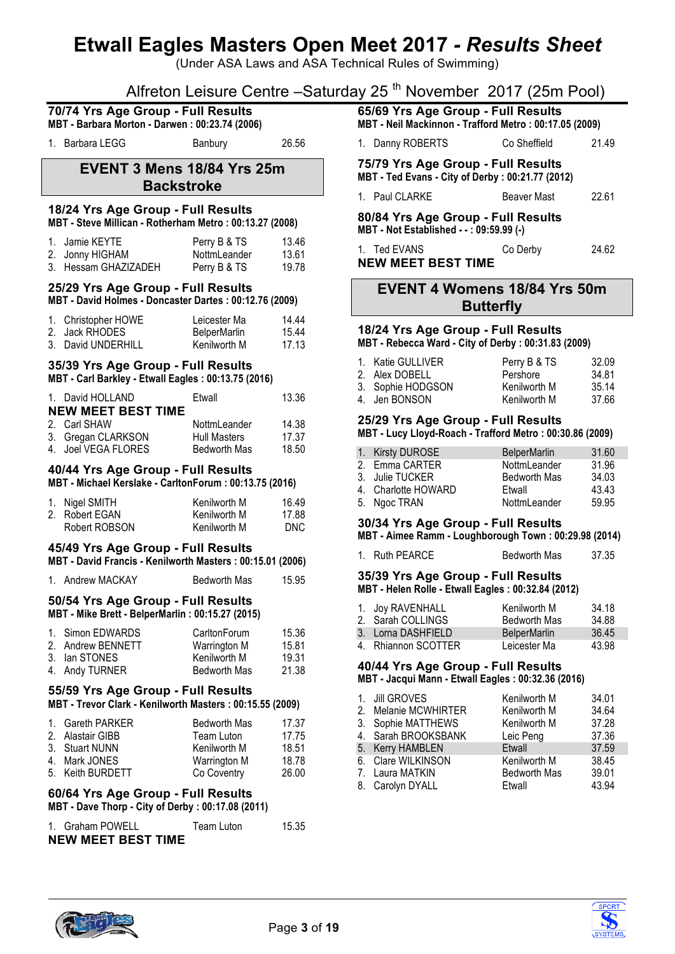(Under ASA Laws and ASA Technical Rules of Swimming)

# Alfreton Leisure Centre -Saturday 25<sup>th</sup> November 2017 (25m Pool)

| 70/74 Yrs Age Group - Full Results<br>MBT - Barbara Morton - Darwen: 00:23.74 (2006) |                                                                                                 |                                                     |                              |                         | 65/69 Yrs Age Group - Full Results<br>MBT - Neil Mackinnon - Trafford Metro: 00:17.05 (2009)                    |                                                                      |                         |
|--------------------------------------------------------------------------------------|-------------------------------------------------------------------------------------------------|-----------------------------------------------------|------------------------------|-------------------------|-----------------------------------------------------------------------------------------------------------------|----------------------------------------------------------------------|-------------------------|
|                                                                                      | 1. Barbara LEGG                                                                                 | Banbury                                             | 26.56                        |                         | 1. Danny ROBERTS                                                                                                | Co Sheffield                                                         | 21.49                   |
|                                                                                      | EVENT 3 Mens 18/84 Yrs 25m<br><b>Backstroke</b>                                                 |                                                     |                              |                         | 75/79 Yrs Age Group - Full Results<br>MBT - Ted Evans - City of Derby : 00:21.77 (2012)                         |                                                                      |                         |
|                                                                                      | 18/24 Yrs Age Group - Full Results                                                              |                                                     |                              |                         | 1. Paul CLARKE                                                                                                  | <b>Beaver Mast</b>                                                   | 22.61                   |
|                                                                                      | MBT - Steve Millican - Rotherham Metro: 00:13.27 (2008)                                         |                                                     |                              |                         | 80/84 Yrs Age Group - Full Results<br>MBT - Not Established - -: 09:59.99 (-)                                   |                                                                      |                         |
|                                                                                      | 1. Jamie KEYTE<br>2. Jonny HIGHAM<br>3. Hessam GHAZIZADEH                                       | Perry B & TS<br>NottmLeander<br>Perry B & TS        | 13.46<br>13.61<br>19.78      |                         | 1. Ted EVANS<br><b>NEW MEET BEST TIME</b>                                                                       | Co Derby                                                             | 24.62                   |
|                                                                                      | 25/29 Yrs Age Group - Full Results<br>MBT - David Holmes - Doncaster Dartes: 00:12.76 (2009)    |                                                     |                              |                         | <b>EVENT 4 Womens 18/84 Yrs 50m</b><br><b>Butterfly</b>                                                         |                                                                      |                         |
|                                                                                      | 1. Christopher HOWE<br>2. Jack RHODES<br>3. David UNDERHILL                                     | Leicester Ma<br><b>BelperMarlin</b><br>Kenilworth M | 14.44<br>15.44<br>17.13      |                         | 18/24 Yrs Age Group - Full Results<br>MBT - Rebecca Ward - City of Derby : 00:31.83 (2009)                      |                                                                      |                         |
|                                                                                      | 35/39 Yrs Age Group - Full Results<br>MBT - Carl Barkley - Etwall Eagles: 00:13.75 (2016)       |                                                     |                              |                         | 1. Katie GULLIVER<br>2. Alex DOBELL<br>3. Sophie HODGSON                                                        | Perry B & TS<br>Pershore<br>Kenilworth M                             | 32.09<br>34.81<br>35.14 |
|                                                                                      | 1. David HOLLAND<br><b>NEW MEET BEST TIME</b><br>2. Carl SHAW                                   | Etwall<br>NottmLeander                              | 13.36<br>14.38               |                         | 4. Jen BONSON<br>25/29 Yrs Age Group - Full Results<br>MBT - Lucy Lloyd-Roach - Trafford Metro: 00:30.86 (2009) | Kenilworth M                                                         | 37.66                   |
|                                                                                      | 3. Gregan CLARKSON<br>4. Joel VEGA FLORES                                                       | <b>Hull Masters</b><br><b>Bedworth Mas</b>          | 17.37<br>18.50               |                         |                                                                                                                 |                                                                      | 31.60                   |
|                                                                                      | 40/44 Yrs Age Group - Full Results<br>MBT - Michael Kerslake - CarltonForum: 00:13.75 (2016)    |                                                     |                              | $1_{\cdot}$<br>2.<br>3. | <b>Kirsty DUROSE</b><br>Emma CARTER<br>Julie TUCKER<br>4. Charlotte HOWARD                                      | <b>BelperMarlin</b><br>NottmLeander<br><b>Bedworth Mas</b><br>Etwall | 31.96<br>34.03<br>43.43 |
|                                                                                      | 1. Nigel SMITH<br>2. Robert EGAN<br>Robert ROBSON                                               | Kenilworth M<br>Kenilworth M<br>Kenilworth M        | 16.49<br>17.88<br><b>DNC</b> |                         | 5. Ngoc TRAN<br>30/34 Yrs Age Group - Full Results                                                              | NottmLeander                                                         | 59.95                   |
|                                                                                      | 45/49 Yrs Age Group - Full Results<br>MBT - David Francis - Kenilworth Masters: 00:15.01 (2006) |                                                     |                              |                         | MBT - Aimee Ramm - Loughborough Town: 00:29.98 (2014)<br>1. Ruth PEARCE                                         | <b>Bedworth Mas</b>                                                  | 37.35                   |
|                                                                                      | 1. Andrew MACKAY                                                                                | <b>Bedworth Mas</b>                                 | 15.95                        |                         | 35/39 Yrs Age Group - Full Results<br>MBT - Helen Rolle - Etwall Eagles: 00:32.84 (2012)                        |                                                                      |                         |
|                                                                                      | 50/54 Yrs Age Group - Full Results<br>MBT - Mike Brett - BelperMarlin : 00:15.27 (2015)         |                                                     |                              |                         | 1. Joy RAVENHALL<br>2. Sarah COLLINGS                                                                           | Kenilworth M<br><b>Bedworth Mas</b>                                  | 34.18<br>34.88          |
|                                                                                      | 1. Simon EDWARDS                                                                                | CarltonForum                                        | 15.36                        |                         | 3. Lorna DASHFIELD                                                                                              | <b>BelperMarlin</b>                                                  | 36.45                   |
|                                                                                      | 2. Andrew BENNETT<br>3. Ian STONES                                                              | Warrington M<br>Kenilworth M                        | 15.81<br>19.31               |                         | 4. Rhiannon SCOTTER                                                                                             | Leicester Ma                                                         | 43.98                   |
|                                                                                      | 4. Andy TURNER                                                                                  | Bedworth Mas                                        | 21.38                        |                         | 40/44 Yrs Age Group - Full Results<br>MBT - Jacqui Mann - Etwall Eagles: 00:32.36 (2016)                        |                                                                      |                         |
|                                                                                      | 55/59 Yrs Age Group - Full Results<br>MBT - Trevor Clark - Kenilworth Masters: 00:15.55 (2009)  |                                                     |                              | 1.                      | <b>Jill GROVES</b>                                                                                              | Kenilworth M                                                         | 34.01                   |
|                                                                                      |                                                                                                 |                                                     |                              | 2.                      | Melanie MCWHIRTER                                                                                               | Kenilworth M                                                         | 34.64                   |
|                                                                                      | 1. Gareth PARKER<br>2. Alastair GIBB                                                            | <b>Bedworth Mas</b><br>Team Luton                   | 17.37<br>17.75               |                         | 3. Sophie MATTHEWS<br>4. Sarah BROOKSBANK                                                                       | Kenilworth M<br>Leic Peng                                            | 37.28<br>37.36          |
|                                                                                      | 3. Stuart NUNN                                                                                  | Kenilworth M                                        | 18.51                        |                         | 5. Kerry HAMBLEN                                                                                                | Etwall                                                               | 37.59                   |
|                                                                                      | 4. Mark JONES                                                                                   | <b>Warrington M</b>                                 | 18.78                        |                         | 6. Clare WILKINSON                                                                                              | Kenilworth M                                                         | 38.45                   |
|                                                                                      | 5. Keith BURDETT                                                                                | Co Coventry                                         | 26.00                        |                         | 7. Laura MATKIN<br>8. Carolyn DYALL                                                                             | Bedworth Mas<br>Etwall                                               | 39.01<br>43.94          |
|                                                                                      | 60/64 Yrs Age Group - Full Results<br>MBT - Dave Thorp - City of Derby: 00:17.08 (2011)         |                                                     |                              |                         |                                                                                                                 |                                                                      |                         |
|                                                                                      | 1. Graham POWELL<br><b>NEW MEET BEST TIME</b>                                                   | Team Luton                                          | 15.35                        |                         |                                                                                                                 |                                                                      |                         |



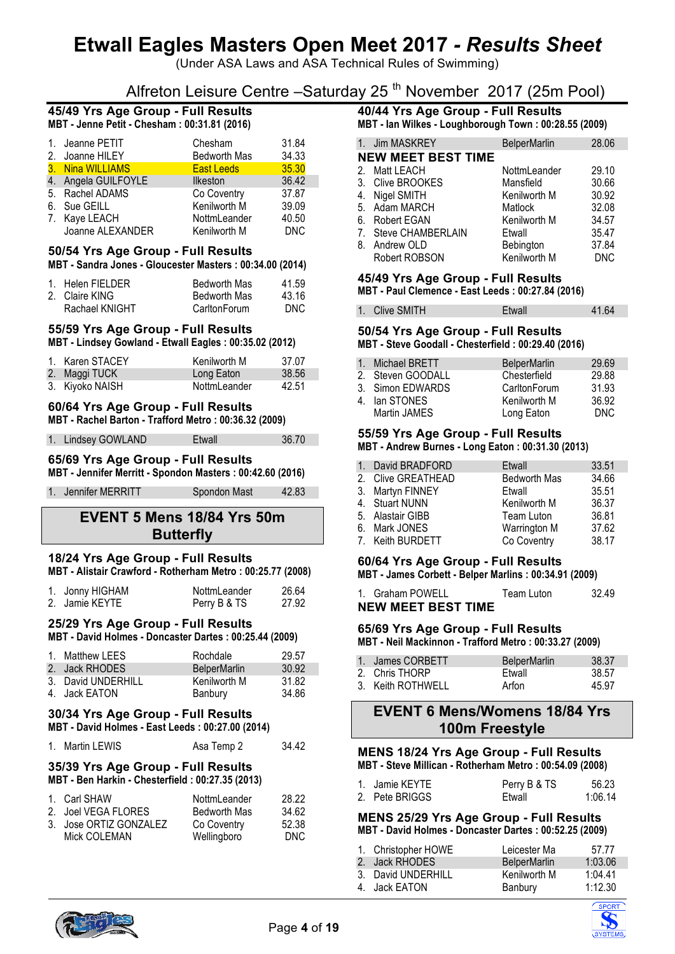(Under ASA Laws and ASA Technical Rules of Swimming)

# Alfreton Leisure Centre –Saturday 25<sup>th</sup> November 2017 (25m Pool)

# **45/49 Yrs Age Group - Full Results**

| 1. Jeanne PETIT     | Chesham           | 31.84      |
|---------------------|-------------------|------------|
| 2. Joanne HILEY     | Bedworth Mas      | 34.33      |
| 3. Nina WILLIAMS    | <b>East Leeds</b> | 35.30      |
| 4. Angela GUILFOYLE | <b>Ilkeston</b>   | 36.42      |
| 5. Rachel ADAMS     | Co Coventry       | 37.87      |
| 6. Sue GEILL        | Kenilworth M      | 39.09      |
| 7. Kaye LEACH       | NottmLeander      | 40.50      |
| Joanne ALEXANDER    | Kenilworth M      | <b>DNC</b> |

#### **50/54 Yrs Age Group - Full Results**

#### **MBT - Sandra Jones - Gloucester Masters : 00:34.00 (2014)**

| 1. Helen FIELDER | <b>Bedworth Mas</b> | 41.59 |
|------------------|---------------------|-------|
| 2. Claire KING   | <b>Bedworth Mas</b> | 43.16 |
| Rachael KNIGHT   | CarltonForum        | DNC.  |

#### **55/59 Yrs Age Group - Full Results**

**MBT - Lindsey Gowland - Etwall Eagles : 00:35.02 (2012)**

| 1. Karen STACEY | Kenilworth M | 37.07 |
|-----------------|--------------|-------|
| 2. Maggi TUCK   | Long Eaton   | 38.56 |
| 3. Kiyoko NAISH | NottmLeander | 42.51 |

# **60/64 Yrs Age Group - Full Results**

| MBT - Rachel Barton - Trafford Metro : 00:36.32 (2009) |  |  |
|--------------------------------------------------------|--|--|
|--------------------------------------------------------|--|--|

| 1. Lindsey GOWLAND | Etwall | 36.70 |
|--------------------|--------|-------|

#### **65/69 Yrs Age Group - Full Results MBT - Jennifer Merritt - Spondon Masters : 00:42.60 (2016)**

1. Jennifer MERRITT Spondon Mast 42.83

# **EVENT 5 Mens 18/84 Yrs 50m Butterfly**

#### **18/24 Yrs Age Group - Full Results MBT - Alistair Crawford - Rotherham Metro : 00:25.77 (2008)**

| 1. Jonny HIGHAM | NottmLeander | 26.64 |
|-----------------|--------------|-------|
| 2. Jamie KEYTE  | Perry B & TS | 27.92 |

# **25/29 Yrs Age Group - Full Results**

**MBT - David Holmes - Doncaster Dartes : 00:25.44 (2009)**

| 1. Matthew LEES    | Rochdale            | 29.57 |
|--------------------|---------------------|-------|
| 2. Jack RHODES     | <b>BelperMarlin</b> | 30.92 |
| 3. David UNDERHILL | Kenilworth M        | 31.82 |
| 4. Jack EATON      | Banbury             | 34.86 |

## **30/34 Yrs Age Group - Full Results**

| MBT - David Holmes - East Leeds : 00:27.00 (2014) |
|---------------------------------------------------|
|                                                   |

|  | 1. Martin LEWIS | Asa Temp 2 | 34.42 |
|--|-----------------|------------|-------|
|--|-----------------|------------|-------|

#### **35/39 Yrs Age Group - Full Results MBT - Ben Harkin - Chesterfield : 00:27.35 (2013)**

| 1. Carl SHAW           | NottmLeander        | 28.22 |
|------------------------|---------------------|-------|
| 2. Joel VEGA FLORES    | <b>Bedworth Mas</b> | 34.62 |
| 3. Jose ORTIZ GONZALEZ | Co Coventry         | 52.38 |
| Mick COLEMAN           | Wellingboro         | DNC.  |

# **40/44 Yrs Age Group - Full Results**

**MBT - Ian Wilkes - Loughborough Town : 00:28.55 (2009)**

| 1. Jim MASKREY            | <b>BelperMarlin</b> | 28.06      |
|---------------------------|---------------------|------------|
| <b>NEW MEET BEST TIME</b> |                     |            |
| 2. Matt LEACH             | NottmLeander        | 29.10      |
| 3. Clive BROOKES          | Mansfield           | 30.66      |
| 4. Nigel SMITH            | Kenilworth M        | 30.92      |
| 5. Adam MARCH             | Matlock             | 32.08      |
| 6. Robert EGAN            | Kenilworth M        | 34.57      |
| 7. Steve CHAMBERLAIN      | Etwall              | 35.47      |
| 8. Andrew OLD             | Bebington           | 37.84      |
| Robert ROBSON             | Kenilworth M        | <b>DNC</b> |

#### **45/49 Yrs Age Group - Full Results MBT - Paul Clemence - East Leeds : 00:27.84 (2016)**

# 1. Clive SMITH Etwall 41.64

#### **50/54 Yrs Age Group - Full Results MBT - Steve Goodall - Chesterfield : 00:29.40 (2016)**

|   | 1. Michael BRETT  | <b>BelperMarlin</b> | 29.69 |
|---|-------------------|---------------------|-------|
|   | 2. Steven GOODALL | Chesterfield        | 29.88 |
|   | 3. Simon EDWARDS  | CarltonForum        | 31.93 |
| 4 | lan STONES        | Kenilworth M        | 36.92 |
|   | Martin JAMES      | Long Eaton          | DNC.  |

#### **55/59 Yrs Age Group - Full Results**

**MBT - Andrew Burnes - Long Eaton : 00:31.30 (2013)**

| 1. David BRADFORD  | Etwall              | 33.51 |
|--------------------|---------------------|-------|
| 2. Clive GREATHEAD | <b>Bedworth Mas</b> | 34.66 |
| 3. Martyn FINNEY   | Etwall              | 35.51 |
| 4. Stuart NUNN     | Kenilworth M        | 36.37 |
| 5. Alastair GIBB   | Team Luton          | 36.81 |
| 6. Mark JONES      | Warrington M        | 37.62 |
| 7. Keith BURDETT   | Co Coventry         | 38.17 |
|                    |                     |       |

#### **60/64 Yrs Age Group - Full Results MBT - James Corbett - Belper Marlins : 00:34.91 (2009)**

| 1. Graham POWELL          | Team Luton | 32.49 |
|---------------------------|------------|-------|
| <b>NEW MEET BEST TIME</b> |            |       |

#### **65/69 Yrs Age Group - Full Results MBT - Neil Mackinnon - Trafford Metro : 00:33.27 (2009)**

| 1. James CORBETT  | BelperMarlin | 38.37 |
|-------------------|--------------|-------|
| 2. Chris THORP    | Ftwall       | 38.57 |
| 3. Keith ROTHWELL | Arfon        | 45.97 |

# **EVENT 6 Mens/Womens 18/84 Yrs 100m Freestyle**

#### **MENS 18/24 Yrs Age Group - Full Results MBT - Steve Millican - Rotherham Metro : 00:54.09 (2008)**

| 1. Jamie KEYTE | Perry B & TS | 56.23   |
|----------------|--------------|---------|
| 2. Pete BRIGGS | Etwall       | 1:06.14 |

#### **MENS 25/29 Yrs Age Group - Full Results MBT - David Holmes - Doncaster Dartes : 00:52.25 (2009)**

| 1. Christopher HOWE | Leicester Ma        | 57.77   |
|---------------------|---------------------|---------|
| 2. Jack RHODES      | <b>BelperMarlin</b> | 1:03.06 |
| 3. David UNDERHILL  | Kenilworth M        | 1:04.41 |
| 4. Jack EATON       | Banbury             | 1:12.30 |



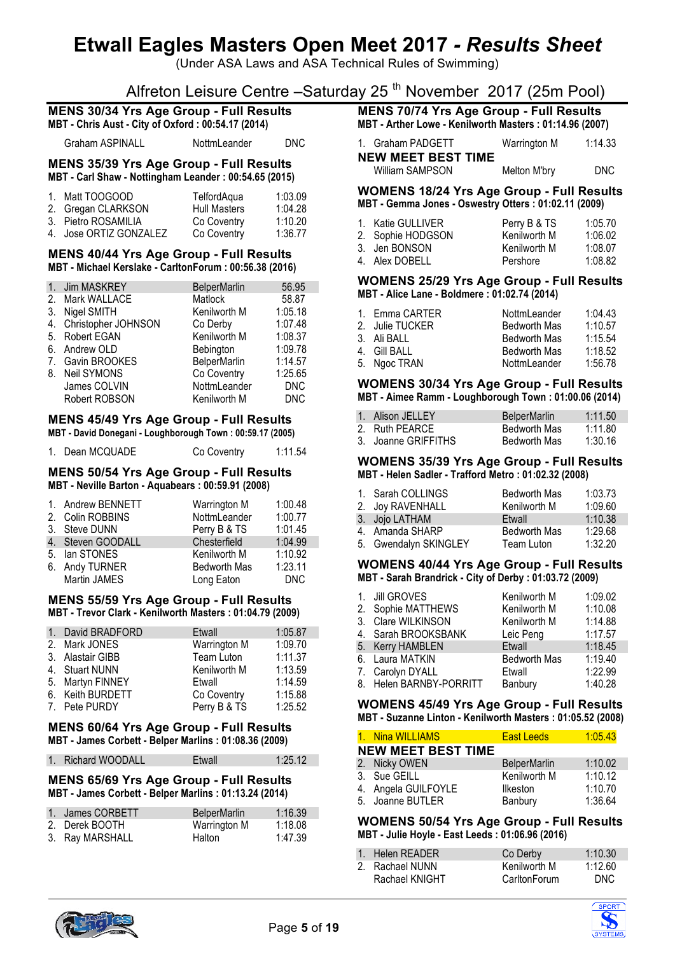(Under ASA Laws and ASA Technical Rules of Swimming)

# Alfreton Leisure Centre –Saturday 25<sup>th</sup> November 2017 (25m Pool)

#### **MENS 30/34 Yrs Age Group - Full Results MBT - Chris Aust - City of Oxford : 00:54.17 (2014)**

Graham ASPINALL NottmLeander DNC

**MENS 35/39 Yrs Age Group - Full Results MBT - Carl Shaw - Nottingham Leander : 00:54.65 (2015)**

| 1. Matt TOOGOOD        | TelfordAqua         | 1:03.09 |
|------------------------|---------------------|---------|
| 2. Gregan CLARKSON     | <b>Hull Masters</b> | 1:04.28 |
| 3. Pietro ROSAMILIA    | Co Coventry         | 1:10.20 |
| 4. Jose ORTIZ GONZALEZ | Co Coventry         | 1:36.77 |

#### **MENS 40/44 Yrs Age Group - Full Results MBT - Michael Kerslake - CarltonForum : 00:56.38 (2016)**

| 1 <sub>1</sub> | Jim MASKREY            | <b>BelperMarlin</b> | 56.95      |
|----------------|------------------------|---------------------|------------|
| 2.             | Mark WALLACE           | Matlock             | 58.87      |
| 3.             | Nigel SMITH            | Kenilworth M        | 1:05.18    |
|                | 4. Christopher JOHNSON | Co Derby            | 1:07.48    |
|                | 5. Robert EGAN         | Kenilworth M        | 1:08.37    |
|                | 6. Andrew OLD          | Bebington           | 1:09.78    |
|                | 7. Gavin BROOKES       | <b>BelperMarlin</b> | 1:14.57    |
|                | 8. Neil SYMONS         | Co Coventry         | 1:25.65    |
|                | James COLVIN           | NottmLeander        | <b>DNC</b> |
|                | Robert ROBSON          | Kenilworth M        | <b>DNC</b> |

# **MENS 45/49 Yrs Age Group - Full Results**

| MBT - David Donegani - Loughborough Town : 00:59.17 (2005) |  |
|------------------------------------------------------------|--|
|                                                            |  |

| 1. Dean MCQUADE | Co Coventry | 1:11.54 |
|-----------------|-------------|---------|
|                 |             |         |

#### **MENS 50/54 Yrs Age Group - Full Results MBT - Neville Barton - Aquabears : 00:59.91 (2008)**

| 1:00.48    |
|------------|
| 1:00.77    |
| 1:01.45    |
| 1:04.99    |
| 1:10.92    |
| 1:23.11    |
| <b>DNC</b> |
|            |

#### **MENS 55/59 Yrs Age Group - Full Results MBT - Trevor Clark - Kenilworth Masters : 01:04.79 (2009)**

| 1. David BRADFORD | Etwall       | 1:05.87 |
|-------------------|--------------|---------|
| 2. Mark JONES     | Warrington M | 1:09.70 |
| 3. Alastair GIBB  | Team Luton   | 1:11.37 |
| 4. Stuart NUNN    | Kenilworth M | 1:13.59 |
| 5. Martyn FINNEY  | Etwall       | 1:14.59 |
| 6. Keith BURDETT  | Co Coventry  | 1:15.88 |
| 7. Pete PURDY     | Perry B & TS | 1:25.52 |

#### **MENS 60/64 Yrs Age Group - Full Results MBT - James Corbett - Belper Marlins : 01:08.36 (2009)**

| 1. Richard WOODALL | Etwall | 1:25.12 |
|--------------------|--------|---------|

#### **MENS 65/69 Yrs Age Group - Full Results MBT - James Corbett - Belper Marlins : 01:13.24 (2014)**

| 1. James CORBETT | <b>BelperMarlin</b> | 1:16.39 |
|------------------|---------------------|---------|
| 2. Derek BOOTH   | Warrington M        | 1:18.08 |
| 3. Ray MARSHALL  | Halton              | 1:47.39 |

## **MENS 70/74 Yrs Age Group - Full Results MBT - Arther Lowe - Kenilworth Masters : 01:14.96 (2007)**

| 1. Graham PADGETT         | Warrington M | 1:14.33 |
|---------------------------|--------------|---------|
| <b>NEW MEET BEST TIME</b> |              |         |
| William SAMPSON           | Melton M'bry | DNC.    |

#### **WOMENS 18/24 Yrs Age Group - Full Results MBT - Gemma Jones - Oswestry Otters : 01:02.11 (2009)**

| 1. Katie GULLIVER | Perry B & TS | 1:05.70 |
|-------------------|--------------|---------|
| 2. Sophie HODGSON | Kenilworth M | 1:06.02 |
| 3. Jen BONSON     | Kenilworth M | 1:08.07 |
| 4. Alex DOBELL    | Pershore     | 1:08.82 |

#### **WOMENS 25/29 Yrs Age Group - Full Results MBT - Alice Lane - Boldmere : 01:02.74 (2014)**

| 1. Emma CARTER  | NottmLeander        | 1:04.43 |
|-----------------|---------------------|---------|
| 2. Julie TUCKER | Bedworth Mas        | 1:10.57 |
| 3. Ali BALL     | <b>Bedworth Mas</b> | 1:15.54 |
| 4. Gill BALL    | <b>Bedworth Mas</b> | 1:18.52 |
| 5. Ngoc TRAN    | NottmLeander        | 1:56.78 |

#### **WOMENS 30/34 Yrs Age Group - Full Results MBT - Aimee Ramm - Loughborough Town : 01:00.06 (2014)**

| 1. Alison JELLEY    | <b>BelperMarlin</b> | 1:11.50 |
|---------------------|---------------------|---------|
| 2. Ruth PEARCE      | <b>Bedworth Mas</b> | 1:11.80 |
| 3. Joanne GRIFFITHS | <b>Bedworth Mas</b> | 1:30.16 |

#### **WOMENS 35/39 Yrs Age Group - Full Results MBT - Helen Sadler - Trafford Metro : 01:02.32 (2008)**

| 1. Sarah COLLINGS     | <b>Bedworth Mas</b> | 1:03.73 |
|-----------------------|---------------------|---------|
| 2. Joy RAVENHALL      | Kenilworth M        | 1:09.60 |
| 3. Jojo LATHAM        | Etwall              | 1:10.38 |
| 4. Amanda SHARP       | <b>Bedworth Mas</b> | 1:29.68 |
| 5. Gwendalyn SKINGLEY | Team Luton          | 1:32.20 |

#### **WOMENS 40/44 Yrs Age Group - Full Results MBT - Sarah Brandrick - City of Derby : 01:03.72 (2009)**

| 1 <sub>1</sub> | <b>Jill GROVES</b>      | Kenilworth M        | 1:09.02 |
|----------------|-------------------------|---------------------|---------|
|                | 2. Sophie MATTHEWS      | Kenilworth M        | 1:10.08 |
|                | 3. Clare WILKINSON      | Kenilworth M        | 1:14.88 |
|                | 4. Sarah BROOKSBANK     | Leic Peng           | 1:17.57 |
|                | 5. Kerry HAMBLEN        | Etwall              | 1:18.45 |
|                | 6. Laura MATKIN         | <b>Bedworth Mas</b> | 1:19.40 |
|                | 7. Carolyn DYALL        | Etwall              | 1:22.99 |
|                | 8. Helen BARNBY-PORRITT | Banbury             | 1:40.28 |

#### **WOMENS 45/49 Yrs Age Group - Full Results MBT - Suzanne Linton - Kenilworth Masters : 01:05.52 (2008)**

| 1. Nina WILLIAMS          | <b>East Leeds</b>   | 1:05.43 |
|---------------------------|---------------------|---------|
| <b>NEW MEET BEST TIME</b> |                     |         |
| 2. Nicky OWEN             | <b>BelperMarlin</b> | 1:10.02 |
| 3. Sue GEILL              | Kenilworth M        | 1:10.12 |
| 4. Angela GUILFOYLE       | <b>Ilkeston</b>     | 1:10.70 |
| 5. Joanne BUTLER          | Banbury             | 1:36.64 |

#### **WOMENS 50/54 Yrs Age Group - Full Results MBT - Julie Hoyle - East Leeds : 01:06.96 (2016)**

| 1. Helen READER | Co Derby     | 1:10.30 |
|-----------------|--------------|---------|
| 2. Rachael NUNN | Kenilworth M | 1:12.60 |
| Rachael KNIGHT  | CarltonForum | DNC.    |



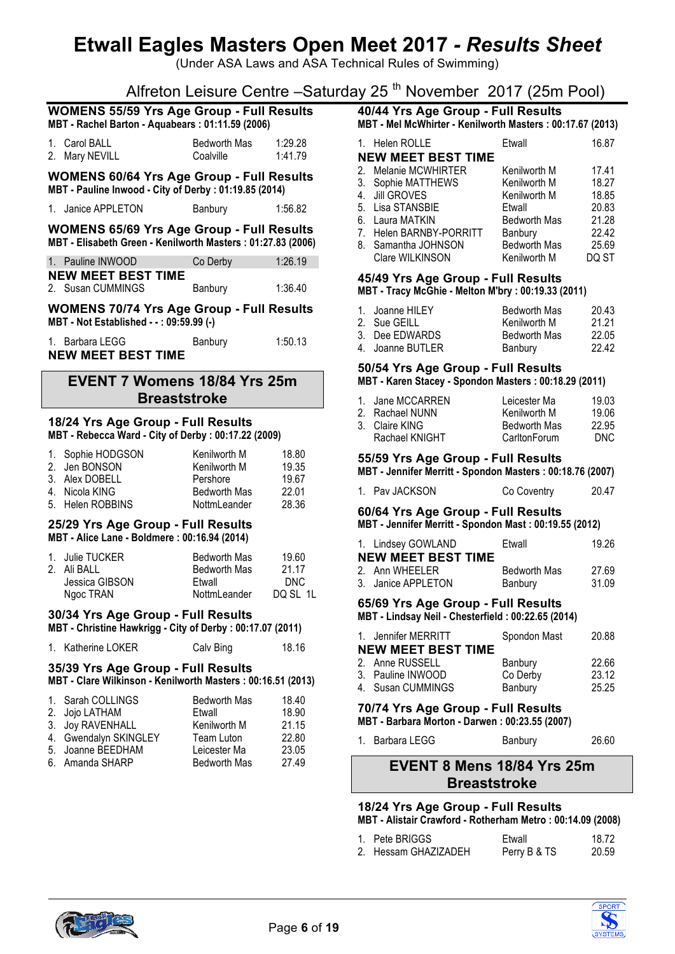(Under ASA Laws and ASA Technical Rules of Swimming)

# Alfreton Leisure Centre – Saturday 25<sup>th</sup> November 2017 (25m Pool)

|                                                                                                                 | $\overline{\phantom{a}}$ , which consider the consideration of                                       |                    |  |  |
|-----------------------------------------------------------------------------------------------------------------|------------------------------------------------------------------------------------------------------|--------------------|--|--|
|                                                                                                                 | <b>WOMENS 55/59 Yrs Age Group - Full Results</b><br>MBT - Rachel Barton - Aquabears: 01:11.59 (2006) |                    |  |  |
| 1. Carol BALL<br>2. Mary NEVILL                                                                                 | Bedworth Mas<br>Coalville                                                                            | 1:29.28<br>1:41.79 |  |  |
| <b>WOMENS 60/64 Yrs Age Group - Full Results</b><br>MBT - Pauline Inwood - City of Derby : 01:19.85 (2014)      |                                                                                                      |                    |  |  |
| 1. Janice APPLETON                                                                                              | Banbury                                                                                              | 1:56.82            |  |  |
| <b>WOMENS 65/69 Yrs Age Group - Full Results</b><br>MBT - Elisabeth Green - Kenilworth Masters: 01:27.83 (2006) |                                                                                                      |                    |  |  |
| 1. Pauline INWOOD                                                                                               | Co Derby                                                                                             | 1:26.19            |  |  |
| <b>NEW MEET BEST TIME</b><br>2. Susan CUMMINGS                                                                  | Banbury                                                                                              | 1:36.40            |  |  |
| <b>WOMENS 70/74 Yrs Age Group - Full Results</b><br>MBT - Not Established - -: 09:59.99 (-)                     |                                                                                                      |                    |  |  |
| 1. Barbara LEGG<br><b>NEW MEET BEST TIME</b>                                                                    | Banbury                                                                                              | 1:50.13            |  |  |
| EVENT 7 Womens 18/84 Yrs 25m                                                                                    |                                                                                                      |                    |  |  |

# **Breaststroke 18/24 Yrs Age Group - Full Results**

# **MBT - Rebecca Ward - City of Derby : 00:17.22 (2009)**

| 1. Sophie HODGSON | Kenilworth M        | 18.80 |
|-------------------|---------------------|-------|
| 2. Jen BONSON     | Kenilworth M        | 19.35 |
| 3. Alex DOBELL    | Pershore            | 19.67 |
| 4. Nicola KING    | <b>Bedworth Mas</b> | 22.01 |
| 5. Helen ROBBINS  | NottmLeander        | 28.36 |

#### **25/29 Yrs Age Group - Full Results MBT - Alice Lane - Boldmere : 00:16.94 (2014)**

| 1. Julie TUCKER | <b>Bedworth Mas</b> | 19.60    |
|-----------------|---------------------|----------|
| 2. Ali BALL     | <b>Bedworth Mas</b> | 21 17    |
| Jessica GIBSON  | Ftwall              | DNC.     |
| Ngoc TRAN       | NottmLeander        | DQ SL 1L |

### **30/34 Yrs Age Group - Full Results**

**MBT - Christine Hawkrigg - City of Derby : 00:17.07 (2011)**

|  | 1. Katherine LOKER | Calv Bing | 18.16 |
|--|--------------------|-----------|-------|
|--|--------------------|-----------|-------|

## **35/39 Yrs Age Group - Full Results**

**MBT - Clare Wilkinson - Kenilworth Masters : 00:16.51 (2013)**

| 1. Sarah COLLINGS     | <b>Bedworth Mas</b> | 18.40 |
|-----------------------|---------------------|-------|
| 2. Jojo LATHAM        | Etwall              | 18.90 |
| 3. Joy RAVENHALL      | Kenilworth M        | 21.15 |
| 4. Gwendalyn SKINGLEY | Team Luton          | 22.80 |
| 5. Joanne BEEDHAM     | Leicester Ma        | 23.05 |
| 6. Amanda SHARP       | <b>Bedworth Mas</b> | 27.49 |

# **40/44 Yrs Age Group - Full Results**

| MBT - Mel McWhirter - Kenilworth Masters: 00:17.67 (2013) |                           |                     |       |  |  |
|-----------------------------------------------------------|---------------------------|---------------------|-------|--|--|
|                                                           | 1. Helen ROLLE            | Etwall              | 16.87 |  |  |
|                                                           | <b>NEW MEET BEST TIME</b> |                     |       |  |  |
|                                                           | 2. Melanie MCWHIRTER      | Kenilworth M        | 17.41 |  |  |
|                                                           | 3. Sophie MATTHEWS        | Kenilworth M        | 18.27 |  |  |
|                                                           | 4. Jill GROVES            | Kenilworth M        | 18.85 |  |  |
|                                                           | 5. Lisa STANSBIE          | Etwall              | 20.83 |  |  |
|                                                           | 6. Laura MATKIN           | <b>Bedworth Mas</b> | 21.28 |  |  |
|                                                           | 7. Helen BARNBY-PORRITT   | Banbury             | 22.42 |  |  |
|                                                           | 8. Samantha JOHNSON       | <b>Bedworth Mas</b> | 25.69 |  |  |

Clare WILKINSON Kenilworth M DQ ST

## **45/49 Yrs Age Group - Full Results**

**MBT - Tracy McGhie - Melton M'bry : 00:19.33 (2011)**

| 1. Joanne HILEY  | <b>Bedworth Mas</b> | 20.43 |
|------------------|---------------------|-------|
| 2. Sue GEILL     | Kenilworth M        | 21 21 |
| 3. Dee EDWARDS   | <b>Bedworth Mas</b> | 22.05 |
| 4. Joanne BUTLER | Banbury             | 22.42 |

## **50/54 Yrs Age Group - Full Results**

### **MBT - Karen Stacey - Spondon Masters : 00:18.29 (2011)**

| 1. Jane MCCARREN | Leicester Ma        | 19 03 |
|------------------|---------------------|-------|
|                  |                     |       |
| 2. Rachael NUNN  | Kenilworth M        | 19.06 |
| 3. Claire KING   | <b>Bedworth Mas</b> | 22.95 |
| Rachael KNIGHT   | CarltonForum        | DNC.  |

# **55/59 Yrs Age Group - Full Results**

**MBT - Jennifer Merritt - Spondon Masters : 00:18.76 (2007)**

| 1. Pav JACKSON | Co Coventry | 20.47 |
|----------------|-------------|-------|
|                |             |       |

## **60/64 Yrs Age Group - Full Results**

**MBT - Jennifer Merritt - Spondon Mast : 00:19.55 (2012)**

| 1. Lindsey GOWLAND        | Etwall              | 19.26 |
|---------------------------|---------------------|-------|
| <b>NEW MEET BEST TIME</b> |                     |       |
| 2. Ann WHFFLFR            | <b>Bedworth Mas</b> | 27.69 |
| 3. Janice APPLETON        | Banbury             | 31.09 |

# **65/69 Yrs Age Group - Full Results**

**MBT - Lindsay Neil - Chesterfield : 00:22.65 (2014)**

| 1. Jennifer MERRITT<br><b>NEW MEET BEST TIME</b> | Spondon Mast | 20.88 |
|--------------------------------------------------|--------------|-------|
| 2. Anne RUSSELL                                  | Banbury      | 22.66 |
| 3. Pauline INWOOD                                | Co Derby     | 23.12 |
| 4. Susan CUMMINGS                                | Banbury      | 25.25 |

#### **70/74 Yrs Age Group - Full Results MBT - Barbara Morton - Darwen : 00:23.55 (2007)**

|  | 1. Barbara LEGG | Banbury | 26.60 |
|--|-----------------|---------|-------|
|--|-----------------|---------|-------|

# **EVENT 8 Mens 18/84 Yrs 25m Breaststroke**

#### **18/24 Yrs Age Group - Full Results MBT - Alistair Crawford - Rotherham Metro : 00:14.09 (2008)**

| 1. Pete BRIGGS       | Etwall       | 18.72 |
|----------------------|--------------|-------|
| 2. Hessam GHAZIZADEH | Perry B & TS | 20.59 |



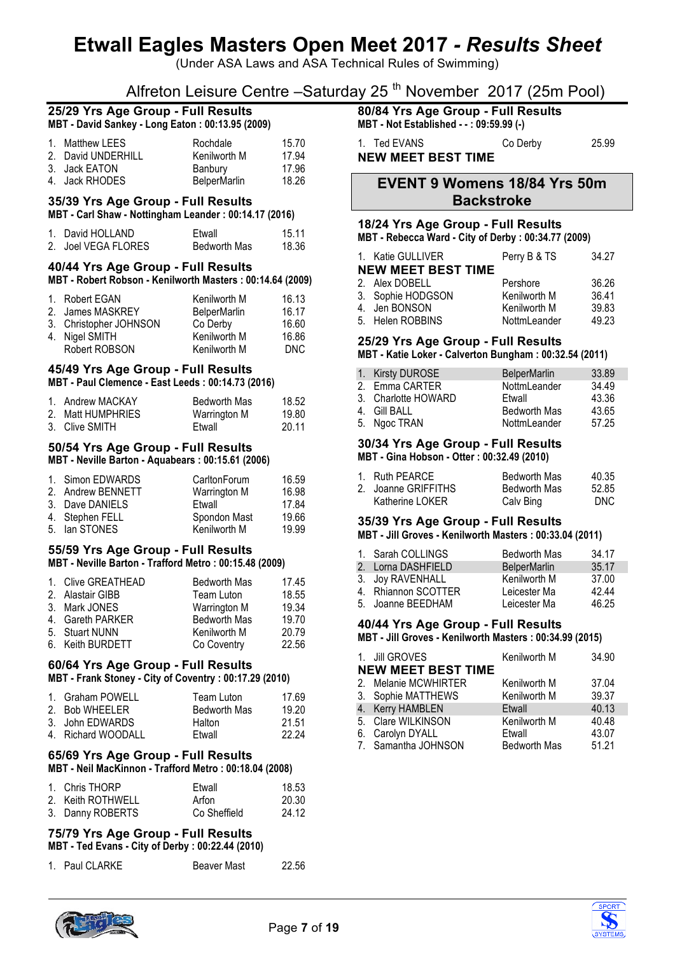(Under ASA Laws and ASA Technical Rules of Swimming)

# Alfreton Leisure Centre –Saturday 25<sup>th</sup> November 2017 (25m Pool)

#### **25/29 Yrs Age Group - Full Results MBT - David Sankey - Long Eaton : 00:13.95 (2009)**

| 1. Matthew LEES    | Rochdale            | 15.70 |
|--------------------|---------------------|-------|
| 2. David UNDERHILL | Kenilworth M        | 17.94 |
| 3. Jack EATON      | Banbury             | 17.96 |
| 4. Jack RHODES     | <b>BelperMarlin</b> | 18.26 |

#### **35/39 Yrs Age Group - Full Results MBT - Carl Shaw - Nottingham Leander : 00:14.17 (2016)**

| 1. David HOLLAND    | Ftwall              | 15.11 |
|---------------------|---------------------|-------|
| 2. Joel VEGA FLORES | <b>Bedworth Mas</b> | 18.36 |

#### **40/44 Yrs Age Group - Full Results**

#### **MBT - Robert Robson - Kenilworth Masters : 00:14.64 (2009)**

| 1. Robert EGAN         | Kenilworth M | 16.13 |
|------------------------|--------------|-------|
| 2. James MASKREY       | BelperMarlin | 16.17 |
| 3. Christopher JOHNSON | Co Derby     | 16.60 |
| 4. Nigel SMITH         | Kenilworth M | 16.86 |
| Robert ROBSON          | Kenilworth M | DNC.  |

### **45/49 Yrs Age Group - Full Results**

**MBT - Paul Clemence - East Leeds : 00:14.73 (2016)**

| 1. Andrew MACKAY  | Bedworth Mas | 18.52 |
|-------------------|--------------|-------|
| 2. Matt HUMPHRIES | Warrington M | 19.80 |
| 3. Clive SMITH    | Ftwall       | 20.11 |

#### **50/54 Yrs Age Group - Full Results MBT - Neville Barton - Aquabears : 00:15.61 (2006)**

| 1. Simon EDWARDS  | CarltonForum | 16.59 |
|-------------------|--------------|-------|
| 2. Andrew BENNETT | Warrington M | 16.98 |
| 3. Dave DANIELS   | Etwall       | 17.84 |
| 4. Stephen FELL   | Spondon Mast | 19.66 |
| 5. Ian STONES     | Kenilworth M | 19.99 |

### **55/59 Yrs Age Group - Full Results**

#### **MBT - Neville Barton - Trafford Metro : 00:15.48 (2009)**

| <b>Bedworth Mas</b>                                                                                               | 17.45 |
|-------------------------------------------------------------------------------------------------------------------|-------|
| Team Luton                                                                                                        | 18.55 |
| <b>Warrington M</b>                                                                                               | 19.34 |
| <b>Bedworth Mas</b>                                                                                               | 19.70 |
| Kenilworth M                                                                                                      | 20.79 |
| Co Coventry                                                                                                       | 22.56 |
| 1. Clive GREATHEAD<br>2. Alastair GIBB<br>3. Mark JONES<br>4. Gareth PARKER<br>5. Stuart NUNN<br>6. Keith BURDETT |       |

# **60/64 Yrs Age Group - Full Results**

**MBT - Frank Stoney - City of Coventry : 00:17.29 (2010)**

| 1. Graham POWELL   | Team Luton          | 17.69 |
|--------------------|---------------------|-------|
| 2. Bob WHEELER     | <b>Bedworth Mas</b> | 19.20 |
| 3. John EDWARDS    | Halton              | 21.51 |
| 4. Richard WOODALL | Ftwall              | 22 24 |

#### **65/69 Yrs Age Group - Full Results MBT - Neil MacKinnon - Trafford Metro : 00:18.04 (2008)**

| 1. Chris THORP    | Ftwall       | 18.53 |
|-------------------|--------------|-------|
| 2. Keith ROTHWELL | Arfon        | 20.30 |
| 3. Danny ROBERTS  | Co Sheffield | 24.12 |

# **75/79 Yrs Age Group - Full Results**

**MBT - Ted Evans - City of Derby : 00:22.44 (2010)**

1. Paul CLARKE Beaver Mast 22.56

**80/84 Yrs Age Group - Full Results**

**MBT - Not Established - - : 09:59.99 (-)** 1. Ted EVANS Co Derby 25.99

**NEW MEET BEST TIME**

## **EVENT 9 Womens 18/84 Yrs 50m Backstroke**

#### **18/24 Yrs Age Group - Full Results**

**MBT - Rebecca Ward - City of Derby : 00:34.77 (2009)**

| 1. Katie GULLIVER         | Perry B & TS | 34.27 |
|---------------------------|--------------|-------|
| <b>NEW MEET BEST TIME</b> |              |       |
| 2. Alex DOBELL            | Pershore     | 36.26 |
| 3. Sophie HODGSON         | Kenilworth M | 36.41 |
| 4. Jen BONSON             | Kenilworth M | 39.83 |
| 5. Helen ROBBINS          | NottmLeander | 49.23 |

#### **25/29 Yrs Age Group - Full Results**

**MBT - Katie Loker - Calverton Bungham : 00:32.54 (2011)**

| 1. Kirsty DUROSE    | <b>BelperMarlin</b> | 33.89 |
|---------------------|---------------------|-------|
| 2. Emma CARTER      | NottmLeander        | 34.49 |
| 3. Charlotte HOWARD | Ftwall              | 43.36 |
| 4. Gill BALL        | Bedworth Mas        | 43.65 |
| 5. Ngoc TRAN        | NottmLeander        | 57.25 |

#### **30/34 Yrs Age Group - Full Results MBT - Gina Hobson - Otter : 00:32.49 (2010)**

| 1. Ruth PEARCE      | <b>Bedworth Mas</b> | 40.35 |
|---------------------|---------------------|-------|
| 2. Joanne GRIFFITHS | Bedworth Mas        | 52.85 |
| Katherine LOKER     | Calv Bing           | DNC.  |

#### **35/39 Yrs Age Group - Full Results**

**MBT - Jill Groves - Kenilworth Masters : 00:33.04 (2011)**

| 1. Sarah COLLINGS   | <b>Bedworth Mas</b> | 34.17 |
|---------------------|---------------------|-------|
| 2. Lorna DASHFIELD  | <b>BelperMarlin</b> | 35.17 |
| 3. Joy RAVENHALL    | Kenilworth M        | 37.00 |
| 4. Rhiannon SCOTTER | Leicester Ma        | 4244  |
| 5. Joanne BEEDHAM   | Leicester Ma        | 46.25 |

## **40/44 Yrs Age Group - Full Results**

**MBT - Jill Groves - Kenilworth Masters : 00:34.99 (2015)**

| 1. Jill GROVES            | Kenilworth M        | 34.90 |
|---------------------------|---------------------|-------|
| <b>NEW MEET BEST TIME</b> |                     |       |
| 2. Melanie MCWHIRTER      | Kenilworth M        | 37.04 |
| 3. Sophie MATTHEWS        | Kenilworth M        | 39.37 |
| 4. Kerry HAMBLEN          | Etwall              | 40.13 |
| 5. Clare WILKINSON        | Kenilworth M        | 40.48 |
| 6. Carolyn DYALL          | Etwall              | 43.07 |
| 7. Samantha JOHNSON       | <b>Bedworth Mas</b> | 51.21 |



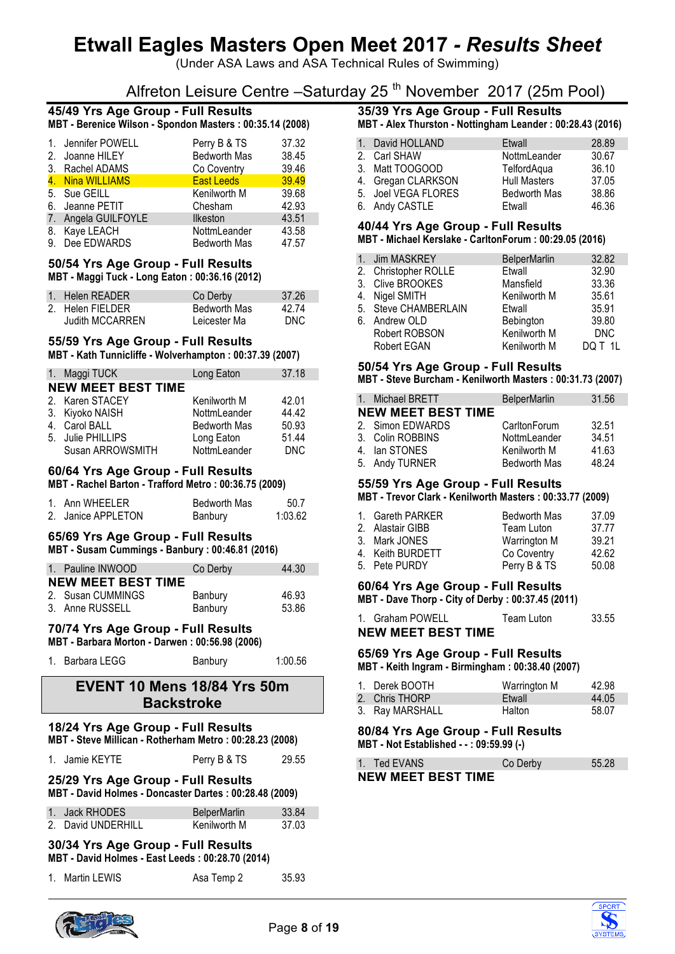(Under ASA Laws and ASA Technical Rules of Swimming)

# Alfreton Leisure Centre –Saturday 25<sup>th</sup> November 2017 (25m Pool)

## **45/49 Yrs Age Group - Full Results MBT - Berenice Wilson - Spondon Masters : 00:35.14 (2008)**

| 1. Jennifer POWELL  | Perry B & TS        | 37.32 |
|---------------------|---------------------|-------|
| 2. Joanne HILEY     | Bedworth Mas        | 38.45 |
| 3. Rachel ADAMS     | Co Coventry         | 39.46 |
| 4. Nina WILLIAMS    | East Leeds          | 39.49 |
| 5. Sue GEILL        | Kenilworth M        | 39.68 |
| 6. Jeanne PETIT     | Chesham             | 42.93 |
| 7. Angela GUILFOYLE | <b>Ilkeston</b>     | 43.51 |
| 8. Kaye LEACH       | NottmLeander        | 43.58 |
| 9. Dee EDWARDS      | <b>Bedworth Mas</b> | 47.57 |

#### **50/54 Yrs Age Group - Full Results MBT - Maggi Tuck - Long Eaton : 00:36.16 (2012)**

| 1. Helen READER        | Co Derby            | 37.26 |
|------------------------|---------------------|-------|
|                        |                     |       |
| 2. Helen FIELDER       | <b>Bedworth Mas</b> | 42 74 |
|                        |                     |       |
| <b>Judith MCCARREN</b> | Leicester Ma        | DNC.  |
|                        |                     |       |

# **55/59 Yrs Age Group - Full Results**

**MBT - Kath Tunnicliffe - Wolverhampton : 00:37.39 (2007)**

| 1. Maggi TUCK             | Long Eaton          | 37.18      |
|---------------------------|---------------------|------------|
| <b>NEW MEET BEST TIME</b> |                     |            |
| 2. Karen STACEY           | Kenilworth M        | 42.01      |
| 3. Kiyoko NAISH           | <b>NottmLeander</b> | 44.42      |
| 4. Carol BALL             | <b>Bedworth Mas</b> | 50.93      |
| 5. Julie PHILLIPS         | Long Eaton          | 51.44      |
| Susan ARROWSMITH          | NottmLeander        | <b>DNC</b> |

## **60/64 Yrs Age Group - Full Results**

**MBT - Rachel Barton - Trafford Metro : 00:36.75 (2009)**

| 1. Ann WHEELER     | Bedworth Mas | 50.7    |
|--------------------|--------------|---------|
| 2. Janice APPLETON | Banbury      | 1:03.62 |

# **65/69 Yrs Age Group - Full Results**

**MBT - Susam Cummings - Banbury : 00:46.81 (2016)**

| 1. Pauline INWOOD         | Co Derby | 44.30 |
|---------------------------|----------|-------|
| <b>NEW MEET BEST TIME</b> |          |       |
| 2. Susan CUMMINGS         | Banbury  | 46.93 |
| 3. Anne RUSSELL           | Banbury  | 53.86 |

### **70/74 Yrs Age Group - Full Results**

**MBT - Barbara Morton - Darwen : 00:56.98 (2006)**

| 1. Barbara LEGG | Banbury | 1:00.56 |
|-----------------|---------|---------|
|                 |         |         |

# **EVENT 10 Mens 18/84 Yrs 50m Backstroke**

#### **18/24 Yrs Age Group - Full Results Dotherham Metro : 00:28.23 (2008)**

|                                                                                              | MBT - Steve Millican - Rothernam Metro : 00:28.23 (2008) |                     |       |  |  |
|----------------------------------------------------------------------------------------------|----------------------------------------------------------|---------------------|-------|--|--|
|                                                                                              | 1. Jamie KEYTE                                           | Perry B & TS        | 29.55 |  |  |
| 25/29 Yrs Age Group - Full Results<br>MBT - David Holmes - Doncaster Dartes: 00:28.48 (2009) |                                                          |                     |       |  |  |
|                                                                                              | 1. Jack RHODES                                           | <b>BelperMarlin</b> | 33.84 |  |  |

| 1. Jack RHODES     | <b>BelperMarlin</b> | 33.84 |
|--------------------|---------------------|-------|
| 2. David UNDERHILL | Kenilworth M        | 37.03 |

#### **30/34 Yrs Age Group - Full Results MBT - David Holmes - East Leeds : 00:28.70 (2014)**

|  | 1. Martin LEWIS | Asa Temp 2 | 35.93 |
|--|-----------------|------------|-------|
|--|-----------------|------------|-------|

# **35/39 Yrs Age Group - Full Results**

| MBT - Alex Thurston - Nottingham Leander : 00:28.43 (2016) |  |
|------------------------------------------------------------|--|
|------------------------------------------------------------|--|

| 1. David HOLLAND    | Etwall              | 28.89 |
|---------------------|---------------------|-------|
| 2. Carl SHAW        | NottmLeander        | 30.67 |
| 3. Matt TOOGOOD     | TelfordAqua         | 36.10 |
| 4. Gregan CLARKSON  | <b>Hull Masters</b> | 37.05 |
| 5. Joel VEGA FLORES | <b>Bedworth Mas</b> | 38.86 |
| 6. Andy CASTLE      | Etwall              | 46.36 |

#### **40/44 Yrs Age Group - Full Results**

**MBT - Michael Kerslake - CarltonForum : 00:29.05 (2016)**

| 1. Jim MASKREY       | <b>BelperMarlin</b>  | 32.82      |
|----------------------|----------------------|------------|
|                      | Etwall               | 32.90      |
| 3. Clive BROOKES     | Mansfield            | 33.36      |
| 4. Nigel SMITH       | Kenilworth M         | 35.61      |
| 5. Steve CHAMBERLAIN | Etwall               | 35.91      |
| 6. Andrew OLD        | Bebington            | 39.80      |
| Robert ROBSON        | Kenilworth M         | <b>DNC</b> |
| Robert EGAN          | Kenilworth M         | DO T 1L    |
|                      | 2. Christopher ROLLE |            |

#### **50/54 Yrs Age Group - Full Results**

**MBT - Steve Burcham - Kenilworth Masters : 00:31.73 (2007)**

| 1. Michael BRETT          | <b>BelperMarlin</b> | 31.56 |
|---------------------------|---------------------|-------|
| <b>NEW MEET BEST TIME</b> |                     |       |
| 2. Simon EDWARDS          | CarltonForum        | 32.51 |
| 3. Colin ROBBINS          | NottmLeander        | 34.51 |
| 4. Ian STONES             | Kenilworth M        | 41.63 |
| 5. Andy TURNER            | <b>Bedworth Mas</b> | 48.24 |

### **55/59 Yrs Age Group - Full Results**

**MBT - Trevor Clark - Kenilworth Masters : 00:33.77 (2009)**

| 1. Gareth PARKER | <b>Bedworth Mas</b> | 37.09 |
|------------------|---------------------|-------|
| 2. Alastair GIBB | Team Luton          | 37.77 |
| 3. Mark JONES    | Warrington M        | 39.21 |
| 4. Keith BURDETT | Co Coventry         | 42.62 |
| 5. Pete PURDY    | Perry B & TS        | 50.08 |

### **60/64 Yrs Age Group - Full Results**

**MBT - Dave Thorp - City of Derby : 00:37.45 (2011)**

| 1. Graham POWELL          | Team Luton | 33.55 |
|---------------------------|------------|-------|
| <b>NEW MEET BEST TIME</b> |            |       |

# **65/69 Yrs Age Group - Full Results**

**MBT - Keith Ingram - Birmingham : 00:38.40 (2007)**

| 1. Derek BOOTH  | Warrington M | 42.98 |
|-----------------|--------------|-------|
| 2. Chris THORP  | Etwall       | 44.05 |
| 3. Ray MARSHALL | Halton       | 58.07 |

## **80/84 Yrs Age Group - Full Results**

**MBT - Not Established - - : 09:59.99 (-)**

| 1. Ted EVANS |                           | Co Derby | 55.28 |
|--------------|---------------------------|----------|-------|
|              | <b>NEW MEET BEST TIME</b> |          |       |



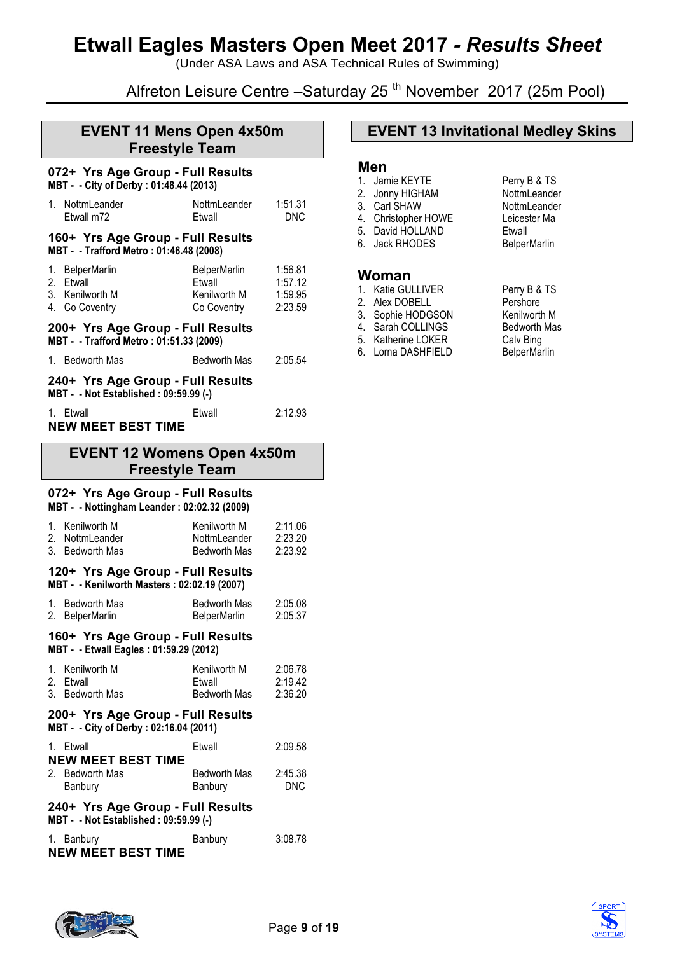(Under ASA Laws and ASA Technical Rules of Swimming)

# Alfreton Leisure Centre – Saturday 25<sup>th</sup> November 2017 (25m Pool)

# **EVENT 11 Mens Open 4x50m Freestyle Team**

#### **072+ Yrs Age Group - Full Results MBT - - City of Derby : 01:48.44 (2013)**

|                                                                            | 1. NottmLeander<br>Etwall m72                                                 | NottmLeander<br>Etwall                                | 1:51.31<br>DNC                           |  |
|----------------------------------------------------------------------------|-------------------------------------------------------------------------------|-------------------------------------------------------|------------------------------------------|--|
|                                                                            | 160+ Yrs Age Group - Full Results<br>MBT - - Trafford Metro : 01:46.48 (2008) |                                                       |                                          |  |
|                                                                            | 1. BelperMarlin<br>2. Etwall<br>3. Kenilworth M<br>4. Co Coventry             | BelperMarlin<br>Etwall<br>Kenilworth M<br>Co Coventry | 1:56.81<br>1:57.12<br>1:59.95<br>2:23.59 |  |
|                                                                            | 200+ Yrs Age Group - Full Results<br>MBT - - Trafford Metro : 01:51.33 (2009) |                                                       |                                          |  |
|                                                                            | 1. Bedworth Mas                                                               | Bedworth Mas                                          | 2:05.54                                  |  |
| 240+ Yrs Age Group - Full Results<br>MBT - - Not Established: 09:59.99 (-) |                                                                               |                                                       |                                          |  |
|                                                                            | 1. Etwall<br><b>NEW MEET BEST TIME</b>                                        | Etwall                                                | 2:12.93                                  |  |

## **EVENT 12 Womens Open 4x50m Freestyle Team**

### **072+ Yrs Age Group - Full Results**

**MBT - - Nottingham Leander : 02:02.32 (2009)**

|                                                                            | 1. Kenilworth M<br>2. NottmLeander<br>3. Bedworth Mas                            | Kenilworth M<br>NottmLeander<br>Bedworth Mas | 2:11.06<br>2:23.20<br>2:23.92 |
|----------------------------------------------------------------------------|----------------------------------------------------------------------------------|----------------------------------------------|-------------------------------|
|                                                                            | 120+ Yrs Age Group - Full Results<br>MBT - - Kenilworth Masters: 02:02.19 (2007) |                                              |                               |
| 1.<br>2.                                                                   | <b>Bedworth Mas</b><br><b>BelperMarlin</b>                                       | Bedworth Mas<br><b>BelperMarlin</b>          | 2:05.08<br>2:05.37            |
|                                                                            | 160+ Yrs Age Group - Full Results<br>MBT - - Etwall Eagles: 01:59.29 (2012)      |                                              |                               |
| 1.                                                                         | Kenilworth M<br>2. Etwall<br>3. Bedworth Mas                                     | Kenilworth M<br>Etwall<br>Bedworth Mas       | 2:06.78<br>2:19.42<br>2:36.20 |
|                                                                            | 200+ Yrs Age Group - Full Results<br>MBT - - City of Derby : 02:16.04 (2011)     |                                              |                               |
|                                                                            | 1. Etwall<br><b>NEW MEET BEST TIME</b>                                           | <b>F</b> twall                               | 2:09.58                       |
|                                                                            | 2. Bedworth Mas<br>Banbury                                                       | Bedworth Mas<br>Banbury                      | 2:45.38<br><b>DNC</b>         |
| 240+ Yrs Age Group - Full Results<br>MBT - - Not Established: 09:59.99 (-) |                                                                                  |                                              |                               |
| 1.                                                                         | Banbury<br><b>NEW MEET BEST TIME</b>                                             | Banbury                                      | 3:08.78                       |

# **EVENT 13 Invitational Medley Skins**

## **Men**

- 1. Jamie KEYTE Perry B & TS 2. Jonny HIGHAM NottmLeander
- 3. Carl SHAW NottmLeander
- 4. Christopher HOWE Leicester Ma
- 5. David HOLLAND Etwall<br>6. Jack RHODES BelberMarlin
- 6. Jack RHODES

### **Woman**

- 1. Katie GULLIVER Perry B & TS
- 
- 
- 4. Sarah COLLINGS
- 
- 6. Lorna DASHFIELD

2. Alex DOBELL Pershore<br>
3. Sophie HODGSON Kenilworth M 3. Sophie HODGSON Kenilworth M<br>4. Sarah COLLINGS Bedworth Mas 5. Katherine LOKER Calv Bing<br>6. Lorna DASHFIELD BelperMarlin



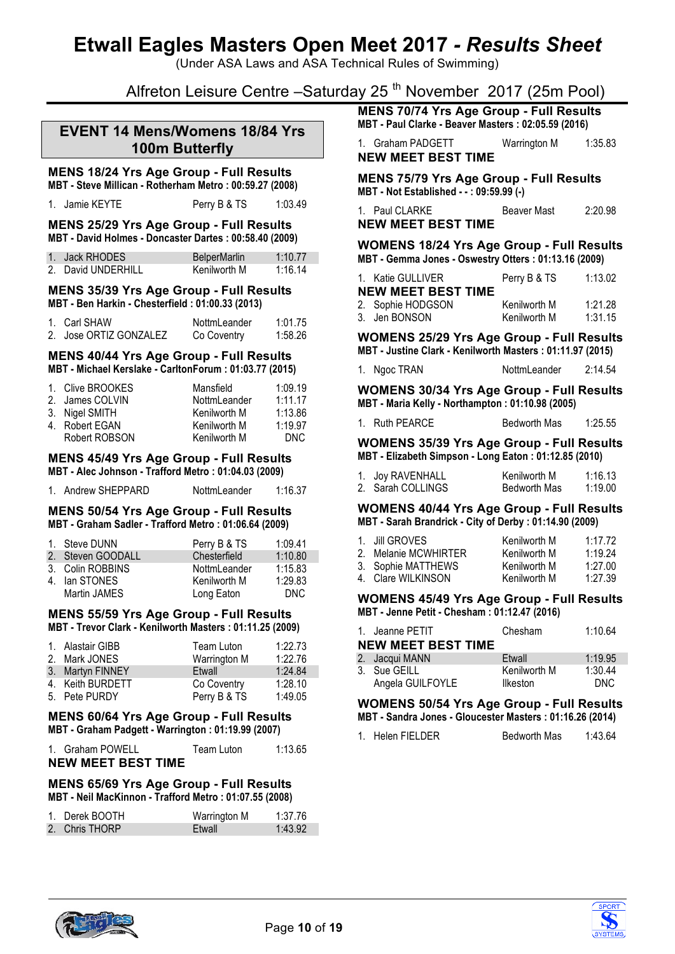(Under ASA Laws and ASA Technical Rules of Swimming)

# Alfreton Leisure Centre -Saturday 25<sup>th</sup> November 2017 (25m Pool)

## **EVENT 14 Mens/Womens 18/84 Yrs 100m Butterfly**

# **MENS 18/24 Yrs Age Group - Full Results**

**MBT - Steve Millican - Rotherham Metro : 00:59.27 (2008)**

| 1. Jamie KEYTE<br>Perry B & TS | 1:03.49 |
|--------------------------------|---------|
|--------------------------------|---------|

**MENS 25/29 Yrs Age Group - Full Results MBT - David Holmes - Doncaster Dartes : 00:58.40 (2009)**

| 1. Jack RHODES     | <b>BelperMarlin</b> | 1:10.77 |
|--------------------|---------------------|---------|
| 2. David UNDERHILL | Kenilworth M        | 1:16.14 |

#### **MENS 35/39 Yrs Age Group - Full Results MBT - Ben Harkin - Chesterfield : 01:00.33 (2013)**

| 1. Carl SHAW           | NottmLeander | 1:01.75 |
|------------------------|--------------|---------|
| 2. Jose ORTIZ GONZALEZ | Co Coventry  | 1:58.26 |

#### **MENS 40/44 Yrs Age Group - Full Results MBT - Michael Kerslake - CarltonForum : 01:03.77 (2015)**

| 1. Clive BROOKES | Mansfield    | 1:09.19 |
|------------------|--------------|---------|
| 2. James COLVIN  | NottmLeander | 1:11.17 |
| 3. Nigel SMITH   | Kenilworth M | 1:13.86 |
| 4. Robert EGAN   | Kenilworth M | 1:19.97 |
| Robert ROBSON    | Kenilworth M | DNC.    |
|                  |              |         |

#### **MENS 45/49 Yrs Age Group - Full Results MBT - Alec Johnson - Trafford Metro : 01:04.03 (2009)**

| 1. Andrew SHEPPARD | NottmLeander | 1:16.37 |
|--------------------|--------------|---------|

# **MENS 50/54 Yrs Age Group - Full Results**

**MBT - Graham Sadler - Trafford Metro : 01:06.64 (2009)**

| 1. Steve DUNN     | Perry B & TS | 1:09.41 |
|-------------------|--------------|---------|
| 2. Steven GOODALL | Chesterfield | 1:10.80 |
| 3. Colin ROBBINS  | NottmLeander | 1:15.83 |
| 4. Ian STONES     | Kenilworth M | 1:29.83 |
| Martin JAMES      | Long Eaton   | DNC.    |

# **MENS 55/59 Yrs Age Group - Full Results**

**MBT - Trevor Clark - Kenilworth Masters : 01:11.25 (2009)**

| 1. Alastair GIBB | Team Luton   | 1:22.73 |
|------------------|--------------|---------|
| 2. Mark JONES    | Warrington M | 1:22.76 |
| 3. Martyn FINNEY | Etwall       | 1:24.84 |
| 4. Keith BURDETT | Co Coventry  | 1:28.10 |
| 5. Pete PURDY    | Perry B & TS | 1:49.05 |

#### **MENS 60/64 Yrs Age Group - Full Results MBT - Graham Padgett - Warrington : 01:19.99 (2007)**

| 1. Graham POWELL          | Team Luton | 1:13.65 |
|---------------------------|------------|---------|
| <b>NEW MEET BEST TIME</b> |            |         |

#### **MENS 65/69 Yrs Age Group - Full Results MBT - Neil MacKinnon - Trafford Metro : 01:07.55 (2008)**

| 1. Derek BOOTH | Warrington M | 1:37.76 |
|----------------|--------------|---------|
| 2. Chris THORP | Etwall       | 1:43.92 |

**MENS 70/74 Yrs Age Group - Full Results MBT - Paul Clarke - Beaver Masters : 02:05.59 (2016)**

1. Graham PADGETT Warrington M 1:35.83 **NEW MEET BEST TIME**

**MENS 75/79 Yrs Age Group - Full Results MBT - Not Established - - : 09:59.99 (-)**

| 1. Paul CLARKE            | Beaver Mast | 2:20.98 |
|---------------------------|-------------|---------|
| <b>NEW MEET BEST TIME</b> |             |         |

**WOMENS 18/24 Yrs Age Group - Full Results MBT - Gemma Jones - Oswestry Otters : 01:13.16 (2009)**

| 1. Katie GULLIVER         | Perry B & TS | 1:13.02 |
|---------------------------|--------------|---------|
| <b>NEW MEET BEST TIME</b> |              |         |
| 2. Sophie HODGSON         | Kenilworth M | 1:21.28 |
| 3. Jen BONSON             | Kenilworth M | 1:31.15 |

**WOMENS 25/29 Yrs Age Group - Full Results MBT - Justine Clark - Kenilworth Masters : 01:11.97 (2015)**

| 1. Ngoc TRAN | NottmLeander | 2:14.54 |
|--------------|--------------|---------|

**WOMENS 30/34 Yrs Age Group - Full Results MBT - Maria Kelly - Northampton : 01:10.98 (2005)**

|  | 1. Ruth PEARCE | <b>Bedworth Mas</b> | 1:25.55 |
|--|----------------|---------------------|---------|
|--|----------------|---------------------|---------|

**WOMENS 35/39 Yrs Age Group - Full Results MBT - Elizabeth Simpson - Long Eaton : 01:12.85 (2010)**

| 1. Joy RAVENHALL  | Kenilworth M        | 1:16.13 |
|-------------------|---------------------|---------|
| 2. Sarah COLLINGS | <b>Bedworth Mas</b> | 1:19.00 |

**WOMENS 40/44 Yrs Age Group - Full Results MBT - Sarah Brandrick - City of Derby : 01:14.90 (2009)**

| 1. Jill GROVES       | Kenilworth M | 1:17.72 |
|----------------------|--------------|---------|
| 2. Melanie MCWHIRTER | Kenilworth M | 1:19.24 |
| 3. Sophie MATTHEWS   | Kenilworth M | 1:27.00 |
| 4. Clare WILKINSON   | Kenilworth M | 1:27.39 |

#### **WOMENS 45/49 Yrs Age Group - Full Results MBT - Jenne Petit - Chesham : 01:12.47 (2016)**

| 1. Jeanne PETIT<br><b>NEW MEET BEST TIME</b> | Chesham      | 1:10.64 |
|----------------------------------------------|--------------|---------|
| 2. Jacqui MANN                               | Etwall       | 1:19.95 |
| 3. Sue GEILL                                 | Kenilworth M | 1:30.44 |
| Angela GUILFOYLE                             | Ilkeston     | DNC.    |

#### **WOMENS 50/54 Yrs Age Group - Full Results MBT - Sandra Jones - Gloucester Masters : 01:16.26 (2014)**

1. Helen FIELDER Bedworth Mas 1:43.64



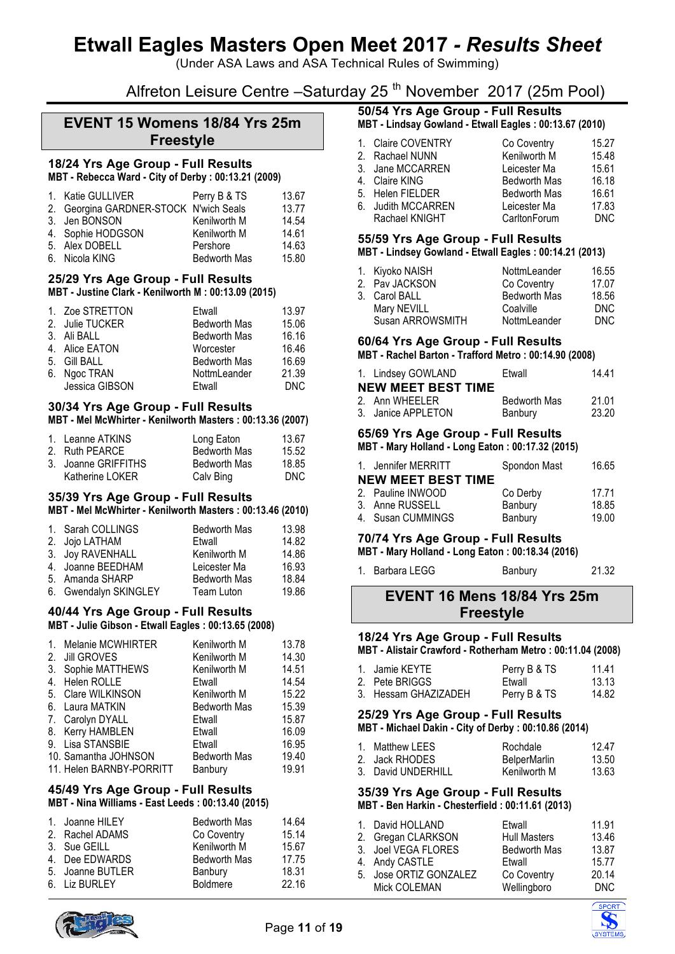(Under ASA Laws and ASA Technical Rules of Swimming)

# Alfreton Leisure Centre – Saturday 25<sup>th</sup> November 2017 (25m Pool)

## **EVENT 15 Womens 18/84 Yrs 25m Freestyle**

#### **18/24 Yrs Age Group - Full Results MBT - Rebecca Ward - City of Derby : 00:13.21 (2009)**

| Perry B & TS                                                                                | 13.67                                  |
|---------------------------------------------------------------------------------------------|----------------------------------------|
|                                                                                             | 13.77                                  |
| Kenilworth M                                                                                | 14.54                                  |
| Kenilworth M                                                                                | 14.61                                  |
| Pershore                                                                                    | 14.63                                  |
| <b>Bedworth Mas</b>                                                                         | 15.80                                  |
| 1. Katie GULLIVER<br>3. Jen BONSON<br>4. Sophie HODGSON<br>5. Alex DOBELL<br>6. Nicola KING | 2. Georgina GARDNER-STOCK N'wich Seals |

#### **25/29 Yrs Age Group - Full Results MBT - Justine Clark - Kenilworth M : 00:13.09 (2015)**

| 1. Zoe STRETTON<br>2. Julie TUCKER<br>3. Ali BALL<br>4. Alice EATON | Etwall<br><b>Bedworth Mas</b><br><b>Bedworth Mas</b><br>Worcester | 13.97<br>15.06<br>16.16<br>16.46 |
|---------------------------------------------------------------------|-------------------------------------------------------------------|----------------------------------|
|                                                                     |                                                                   |                                  |
|                                                                     |                                                                   |                                  |
| 5. Gill BALL                                                        | <b>Bedworth Mas</b>                                               | 16.69                            |
| 6. Ngoc TRAN                                                        | NottmLeander                                                      | 21.39                            |
| Jessica GIBSON                                                      | Etwall                                                            | DNC.                             |
|                                                                     |                                                                   |                                  |

#### **30/34 Yrs Age Group - Full Results MBT - Mel McWhirter - Kenilworth Masters : 00:13.36 (2007)**

| 1. Leanne ATKINS    | Long Eaton          | 13.67 |
|---------------------|---------------------|-------|
| 2. Ruth PEARCE      | <b>Bedworth Mas</b> | 15.52 |
| 3. Joanne GRIFFITHS | <b>Bedworth Mas</b> | 18.85 |
| Katherine LOKER     | Calv Bing           | DNC   |

#### **35/39 Yrs Age Group - Full Results**

#### **MBT - Mel McWhirter - Kenilworth Masters : 00:13.46 (2010)**

| 1. Sarah COLLINGS     | <b>Bedworth Mas</b> | 13.98 |
|-----------------------|---------------------|-------|
| 2. Jojo LATHAM        | Etwall              | 14.82 |
| 3. Joy RAVENHALL      | Kenilworth M        | 14.86 |
| 4. Joanne BEEDHAM     | Leicester Ma        | 16.93 |
| 5. Amanda SHARP       | <b>Bedworth Mas</b> | 18.84 |
| 6. Gwendalyn SKINGLEY | Team Luton          | 19.86 |

#### **40/44 Yrs Age Group - Full Results**

**MBT - Julie Gibson - Etwall Eagles : 00:13.65 (2008)**

| $1_{-}$        | Melanie MCWHIRTER        | Kenilworth M        | 13.78 |
|----------------|--------------------------|---------------------|-------|
| 2.             | <b>Jill GROVES</b>       | Kenilworth M        | 14.30 |
| 3.             | Sophie MATTHEWS          | Kenilworth M        | 14.51 |
| 4 <sub>1</sub> | Helen ROLLE              | Etwall              | 14.54 |
|                | 5. Clare WILKINSON       | Kenilworth M        | 15.22 |
|                | 6. Laura MATKIN          | <b>Bedworth Mas</b> | 15.39 |
|                | 7. Carolyn DYALL         | Etwall              | 15.87 |
|                | 8. Kerry HAMBLEN         | Etwall              | 16.09 |
|                | 9. Lisa STANSBIE         | Etwall              | 16.95 |
|                | 10. Samantha JOHNSON     | <b>Bedworth Mas</b> | 19.40 |
|                | 11. Helen BARNBY-PORRITT | Banbury             | 19.91 |

# **45/49 Yrs Age Group - Full Results**

**MBT - Nina Williams - East Leeds : 00:13.40 (2015)**

| 1. Joanne HILEY  | <b>Bedworth Mas</b> | 14.64 |
|------------------|---------------------|-------|
| 2. Rachel ADAMS  | Co Coventry         | 15.14 |
| 3. Sue GEILL     | Kenilworth M        | 15.67 |
| 4. Dee EDWARDS   | <b>Bedworth Mas</b> | 17.75 |
| 5. Joanne BUTLER | Banbury             | 18.31 |
| 6. Liz BURLEY    | <b>Boldmere</b>     | 22.16 |
|                  |                     |       |

# **50/54 Yrs Age Group - Full Results**

**MBT - Lindsay Gowland - Etwall Eagles : 00:13.67 (2010)**

| 1. Claire COVENTRY | Co Coventry         | 15.27 |
|--------------------|---------------------|-------|
| 2. Rachael NUNN    | Kenilworth M        | 15.48 |
| 3. Jane MCCARREN   | Leicester Ma        | 15.61 |
| 4. Claire KING     | <b>Bedworth Mas</b> | 16.18 |
| 5. Helen FIELDER   | <b>Bedworth Mas</b> | 16.61 |
| 6. Judith MCCARREN | Leicester Ma        | 17.83 |
| Rachael KNIGHT     | CarltonForum        | DNC.  |
|                    |                     |       |

#### **55/59 Yrs Age Group - Full Results**

#### **MBT - Lindsey Gowland - Etwall Eagles : 00:14.21 (2013)**

| 1. Kiyoko NAISH  | NottmLeander        | 16.55      |
|------------------|---------------------|------------|
| 2. Pav JACKSON   | Co Coventry         | 17.07      |
| 3. Carol BALL    | <b>Bedworth Mas</b> | 18.56      |
| Mary NEVILL      | Coalville           | <b>DNC</b> |
| Susan ARROWSMITH | NottmLeander        | <b>DNC</b> |
|                  |                     |            |

## **60/64 Yrs Age Group - Full Results**

**MBT - Rachel Barton - Trafford Metro : 00:14.90 (2008)**

| 1. Lindsey GOWLAND        | Etwall              | 14 41 |
|---------------------------|---------------------|-------|
| <b>NEW MEET BEST TIME</b> |                     |       |
| 2. Ann WHFFLFR            | <b>Bedworth Mas</b> | 21.01 |
| 3. Janice APPLETON        | Banbury             | 23.20 |

# **65/69 Yrs Age Group - Full Results**

**MBT - Mary Holland - Long Eaton : 00:17.32 (2015)**

| 1. Jennifer MERRITT       | Spondon Mast | 16.65 |
|---------------------------|--------------|-------|
| <b>NEW MEET BEST TIME</b> |              |       |
| 2. Pauline INWOOD         | Co Derby     | 17.71 |
| 3. Anne RUSSELL           | Banbury      | 18.85 |
| 4. Susan CUMMINGS         | Banbury      | 19.00 |

### **70/74 Yrs Age Group - Full Results**

**MBT - Mary Holland - Long Eaton : 00:18.34 (2016)**

1. Barbara LEGG Banbury 21.32

# **EVENT 16 Mens 18/84 Yrs 25m Freestyle**

## **18/24 Yrs Age Group - Full Results**

**MBT - Alistair Crawford - Rotherham Metro : 00:11.04 (2008)**

| 1. Jamie KEYTE       | Perry B & TS | 11.41 |
|----------------------|--------------|-------|
| 2. Pete BRIGGS       | Ftwall       | 13.13 |
| 3. Hessam GHAZIZADEH | Perry B & TS | 14.82 |

#### **25/29 Yrs Age Group - Full Results MBT - Michael Dakin - City of Derby : 00:10.86 (2014)**

| 1. Matthew LEES    | Rochdale            | 12 47 |
|--------------------|---------------------|-------|
| 2. Jack RHODES     | <b>BelperMarlin</b> | 13.50 |
| 3. David UNDERHILL | Kenilworth M        | 13.63 |

#### **35/39 Yrs Age Group - Full Results MBT - Ben Harkin - Chesterfield : 00:11.61 (2013)**

| 1. David HOLLAND       | Etwall              | 11.91 |
|------------------------|---------------------|-------|
| 2. Gregan CLARKSON     | <b>Hull Masters</b> | 13.46 |
| 3. Joel VEGA FLORES    | <b>Bedworth Mas</b> | 13.87 |
| 4. Andy CASTLE         | Etwall              | 15.77 |
| 5. Jose ORTIZ GONZALEZ | Co Coventry         | 20.14 |
| Mick COLEMAN           | Wellingboro         | DNC   |
|                        |                     |       |



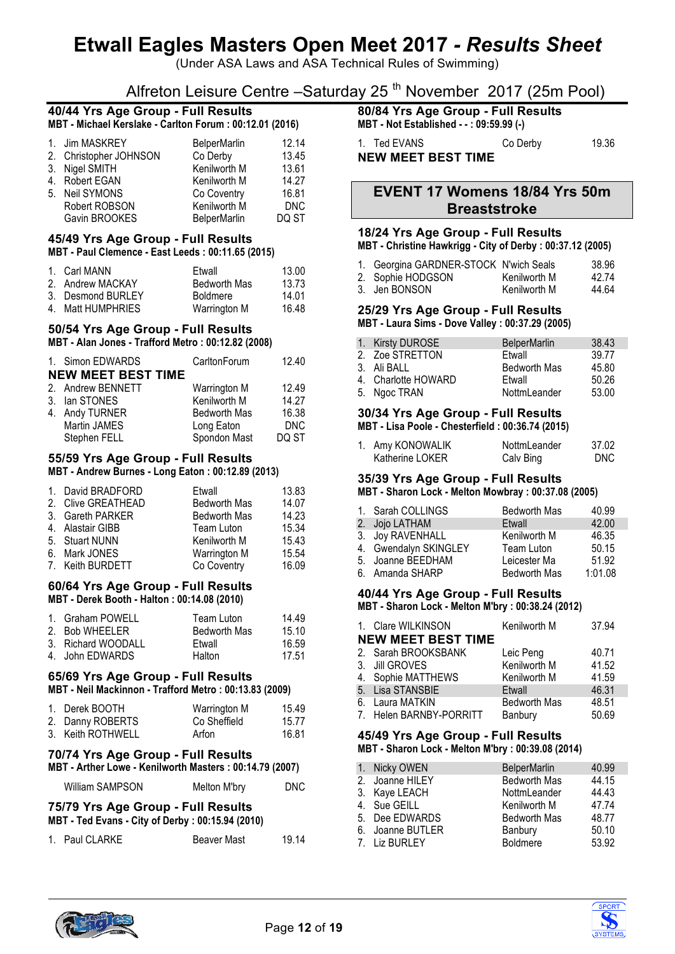(Under ASA Laws and ASA Technical Rules of Swimming)

# Alfreton Leisure Centre –Saturday 25<sup>th</sup> November 2017 (25m Pool)

#### **40/44 Yrs Age Group - Full Results MBT - Michael Kerslake - Carlton Forum : 00:12.01 (2016)**

| 1. Jim MASKREY         | <b>BelperMarlin</b> | 12.14      |
|------------------------|---------------------|------------|
| 2. Christopher JOHNSON | Co Derby            | 13.45      |
| 3. Nigel SMITH         | Kenilworth M        | 13.61      |
| 4. Robert EGAN         | Kenilworth M        | 14.27      |
| 5. Neil SYMONS         | Co Coventry         | 16.81      |
| Robert ROBSON          | Kenilworth M        | <b>DNC</b> |
| Gavin BROOKES          | BelperMarlin        | DQ ST      |

#### **45/49 Yrs Age Group - Full Results MBT - Paul Clemence - East Leeds : 00:11.65 (2015)**

| 1. Carl MANN      | Ftwall              | 13.00 |
|-------------------|---------------------|-------|
| 2. Andrew MACKAY  | <b>Bedworth Mas</b> | 13.73 |
| 3. Desmond BURLEY | <b>Boldmere</b>     | 14.01 |
| 4. Matt HUMPHRIES | Warrington M        | 16.48 |

### **50/54 Yrs Age Group - Full Results**

#### **MBT - Alan Jones - Trafford Metro : 00:12.82 (2008)**

| 1. Simon EDWARDS          | CarltonForum        | 12.40      |
|---------------------------|---------------------|------------|
| <b>NEW MEET BEST TIME</b> |                     |            |
| 2. Andrew BENNETT         | Warrington M        | 12.49      |
| 3. Ian STONES             | Kenilworth M        | 14.27      |
| 4. Andy TURNER            | <b>Bedworth Mas</b> | 16.38      |
| Martin JAMES              | Long Eaton          | <b>DNC</b> |
| Stephen FELL              | Spondon Mast        | DQ ST      |

#### **55/59 Yrs Age Group - Full Results MBT - Andrew Burnes - Long Eaton : 00:12.89 (2013)**

| 1. David BRADFORD  | Etwall              | 13.83 |
|--------------------|---------------------|-------|
| 2. Clive GREATHEAD | <b>Bedworth Mas</b> | 14.07 |
| 3. Gareth PARKER   | <b>Bedworth Mas</b> | 14.23 |
| 4. Alastair GIBB   | Team Luton          | 15.34 |
| 5. Stuart NUNN     | Kenilworth M        | 15.43 |
| 6. Mark JONES      | Warrington M        | 15.54 |
| 7. Keith BURDETT   | Co Coventry         | 16.09 |

#### **60/64 Yrs Age Group - Full Results MBT - Derek Booth - Halton : 00:14.08 (2010)**

| 1. Graham POWELL   | Team Luton          | 14.49 |
|--------------------|---------------------|-------|
| 2. Bob WHEELER     | <b>Bedworth Mas</b> | 15.10 |
| 3. Richard WOODALL | Ftwall              | 16.59 |
| 4. John EDWARDS    | Halton              | 17.51 |

#### **65/69 Yrs Age Group - Full Results MBT - Neil Mackinnon - Trafford Metro : 00:13.83 (2009)**

| 1. Derek BOOTH    | Warrington M | 15.49 |
|-------------------|--------------|-------|
| 2. Danny ROBERTS  | Co Sheffield | 15.77 |
| 3. Keith ROTHWELL | Arfon        | 16.81 |

## **70/74 Yrs Age Group - Full Results MBT - Arther Lowe - Kenilworth Masters : 00:14.79 (2007)**

| <b>William SAMPSON</b> | Melton M'bry | <b>DNC</b> |
|------------------------|--------------|------------|
|                        |              |            |

#### **75/79 Yrs Age Group - Full Results MBT - Ted Evans - City of Derby : 00:15.94 (2010)**

| 1. Paul CLARKE | <b>Beaver Mast</b> | 19.14 |
|----------------|--------------------|-------|

# **80/84 Yrs Age Group - Full Results**

**MBT - Not Established - - : 09:59.99 (-)**

| 1. Ted EVANS              | Co Derby | 19.36 |
|---------------------------|----------|-------|
| <b>NEW MEET BEST TIME</b> |          |       |

## **EVENT 17 Womens 18/84 Yrs 50m Breaststroke**

## **18/24 Yrs Age Group - Full Results**

**MBT - Christine Hawkrigg - City of Derby : 00:37.12 (2005)**

| 1. Georgina GARDNER-STOCK N'wich Seals |              | 38.96 |
|----------------------------------------|--------------|-------|
| 2. Sophie HODGSON                      | Kenilworth M | 42 74 |
| 3. Jen BONSON                          | Kenilworth M | 44.64 |

# **25/29 Yrs Age Group - Full Results**

**MBT - Laura Sims - Dove Valley : 00:37.29 (2005)**

| 1. Kirsty DUROSE    | <b>BelperMarlin</b> | 38.43 |
|---------------------|---------------------|-------|
| 2. Zoe STRETTON     | Etwall              | 39.77 |
| 3. Ali BALL         | <b>Bedworth Mas</b> | 45.80 |
| 4. Charlotte HOWARD | Etwall              | 50.26 |
| 5. Ngoc TRAN        | NottmLeander        | 53.00 |

# **30/34 Yrs Age Group - Full Results**

**MBT - Lisa Poole - Chesterfield : 00:36.74 (2015)**

| 1. Amy KONOWALIK | NottmLeander | 37.02 |
|------------------|--------------|-------|
| Katherine LOKER  | Calv Bing    | DNC.  |

### **35/39 Yrs Age Group - Full Results**

**MBT - Sharon Lock - Melton Mowbray : 00:37.08 (2005)**

| 1. Sarah COLLINGS     | <b>Bedworth Mas</b> | 40.99   |
|-----------------------|---------------------|---------|
| 2. Jojo LATHAM        | Etwall              | 42.00   |
| 3. Joy RAVENHALL      | Kenilworth M        | 46.35   |
| 4. Gwendalyn SKINGLEY | Team Luton          | 50.15   |
| 5. Joanne BEEDHAM     | Leicester Ma        | 51.92   |
| 6. Amanda SHARP       | <b>Bedworth Mas</b> | 1:01.08 |

# **40/44 Yrs Age Group - Full Results**

**MBT - Sharon Lock - Melton M'bry : 00:38.24 (2012)**

|    | 1. Clare WILKINSON        | Kenilworth M        | 37.94 |
|----|---------------------------|---------------------|-------|
|    | <b>NEW MEET BEST TIME</b> |                     |       |
|    | 2. Sarah BROOKSBANK       | Leic Peng           | 40.71 |
|    | 3. Jill GROVES            | Kenilworth M        | 41.52 |
|    | 4. Sophie MATTHEWS        | Kenilworth M        | 41.59 |
|    | 5. Lisa STANSBIE          | Etwall              | 46.31 |
| 6. | Laura MATKIN              | <b>Bedworth Mas</b> | 48.51 |
|    | 7. Helen BARNBY-PORRITT   | Banbury             | 50.69 |

#### **45/49 Yrs Age Group - Full Results MBT - Sharon Lock - Melton M'bry : 00:39.08 (2014)**

| 1. Nicky OWEN    | <b>BelperMarlin</b> | 40.99 |
|------------------|---------------------|-------|
| 2. Joanne HILEY  | <b>Bedworth Mas</b> | 44.15 |
| 3. Kaye LEACH    | NottmLeander        | 44.43 |
| 4. Sue GEILL     | Kenilworth M        | 47.74 |
| 5. Dee EDWARDS   | <b>Bedworth Mas</b> | 48.77 |
| 6. Joanne BUTLER | Banbury             | 50.10 |
| 7. Liz BURLEY    | <b>Boldmere</b>     | 53.92 |



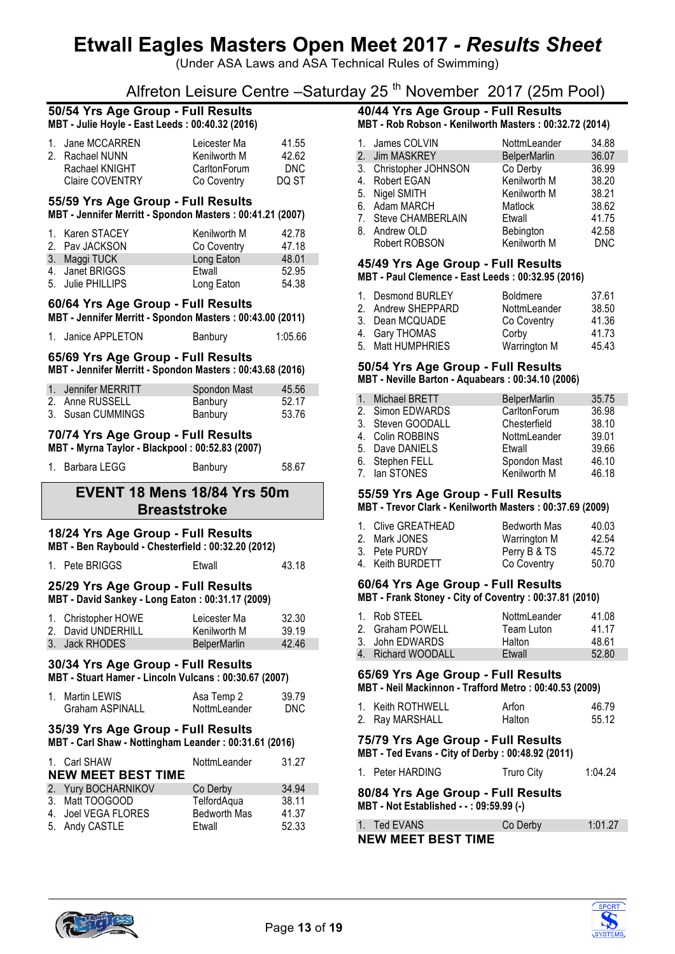(Under ASA Laws and ASA Technical Rules of Swimming)

Alfreton Leisure Centre –Saturday 25<sup>th</sup> November 2017 (25m Pool)

#### **50/54 Yrs Age Group - Full Results MBT - Julie Hoyle - East Leeds : 00:40.32 (2016)**

| 1. Jane MCCARREN | Leicester Ma | 41.55 |
|------------------|--------------|-------|
| 2. Rachael NUNN  | Kenilworth M | 42.62 |
| Rachael KNIGHT   | CarltonForum | DNC.  |
| Claire COVENTRY  | Co Coventry  | DO ST |

#### **55/59 Yrs Age Group - Full Results MBT - Jennifer Merritt - Spondon Masters : 00:41.21 (2007)**

| 1. Karen STACEY   | Kenilworth M | 42.78 |
|-------------------|--------------|-------|
| 2. Pav JACKSON    | Co Coventry  | 47.18 |
| 3. Maggi TUCK     | Long Eaton   | 48.01 |
| 4. Janet BRIGGS   | Etwall       | 52.95 |
| 5. Julie PHILLIPS | Long Eaton   | 54.38 |

#### **60/64 Yrs Age Group - Full Results MBT - Jennifer Merritt - Spondon Masters : 00:43.00 (2011)**

| 1. Janice APPLETON | <b>Banbury</b> | 1:05.66 |
|--------------------|----------------|---------|

### **65/69 Yrs Age Group - Full Results MBT - Jennifer Merritt - Spondon Masters : 00:43.68 (2016)**

| 1. Jennifer MERRITT | Spondon Mast | 45.56 |
|---------------------|--------------|-------|
| 2. Anne RUSSELL     | Banbury      | 52.17 |
| 3. Susan CUMMINGS   | Banbury      | 53.76 |

## **70/74 Yrs Age Group - Full Results**

**MBT - Myrna Taylor - Blackpool : 00:52.83 (2007)**

| 1. Barbara LEGG | Banbury | 58.67 |
|-----------------|---------|-------|
|                 |         |       |

# **EVENT 18 Mens 18/84 Yrs 50m Breaststroke**

### **18/24 Yrs Age Group - Full Results**

**MBT - Ben Raybould - Chesterfield : 00:32.20 (2012)**

#### 1. Pete BRIGGS Etwall 43.18

#### **25/29 Yrs Age Group - Full Results MBT - David Sankey - Long Eaton : 00:31.17 (2009)**

| 1. Christopher HOWE | Leicester Ma        | 32.30 |
|---------------------|---------------------|-------|
| 2. David UNDERHILL  | Kenilworth M        | 39.19 |
| 3. Jack RHODES      | <b>BelperMarlin</b> | 42.46 |

# **30/34 Yrs Age Group - Full Results**

**MBT - Stuart Hamer - Lincoln Vulcans : 00:30.67 (2007)**

| 1. Martin LEWIS | Asa Temp 2   | 39.79 |
|-----------------|--------------|-------|
| Graham ASPINALL | NottmLeander | DNC.  |

### **35/39 Yrs Age Group - Full Results**

**MBT - Carl Shaw - Nottingham Leander : 00:31.61 (2016)**

| 1. Carl SHAW              | NottmLeander        | 31.27 |
|---------------------------|---------------------|-------|
| <b>NEW MEET BEST TIME</b> |                     |       |
| 2. Yury BOCHARNIKOV       | Co Derby            | 34.94 |
| 3. Matt TOOGOOD           | TelfordAqua         | 38.11 |
| 4. Joel VEGA FLORES       | <b>Bedworth Mas</b> | 41.37 |
| 5. Andy CASTLE            | Etwall              | 52.33 |

# **40/44 Yrs Age Group - Full Results**

**MBT - Rob Robson - Kenilworth Masters : 00:32.72 (2014)**

| 1. James COLVIN        | NottmLeander        | 34.88      |
|------------------------|---------------------|------------|
| 2. Jim MASKREY         | <b>BelperMarlin</b> | 36.07      |
| 3. Christopher JOHNSON | Co Derby            | 36.99      |
| 4. Robert EGAN         | Kenilworth M        | 38.20      |
| 5. Nigel SMITH         | Kenilworth M        | 38.21      |
| 6. Adam MARCH          | Matlock             | 38.62      |
| 7. Steve CHAMBERLAIN   | Etwall              | 41.75      |
| 8. Andrew OLD          | Bebington           | 42.58      |
| Robert ROBSON          | Kenilworth M        | <b>DNC</b> |

#### **45/49 Yrs Age Group - Full Results MBT - Paul Clemence - East Leeds : 00:32.95 (2016)**

| 1. Desmond BURLEY<br>2. Andrew SHEPPARD | <b>Boldmere</b><br>NottmLeander | 37.61<br>38.50 |
|-----------------------------------------|---------------------------------|----------------|
| 3. Dean MCQUADE                         | Co Coventry                     | 41.36          |
| 4. Gary THOMAS                          | Corby                           | 41.73          |
| 5. Matt HUMPHRIES                       | Warrington M                    | 45.43          |

#### **50/54 Yrs Age Group - Full Results MBT - Neville Barton - Aquabears : 00:34.10 (2006)**

| 1. Michael BRETT  | <b>BelperMarlin</b> | 35.75 |
|-------------------|---------------------|-------|
| 2. Simon EDWARDS  | CarltonForum        | 36.98 |
| 3. Steven GOODALL | Chesterfield        | 38.10 |
| 4. Colin ROBBINS  | NottmLeander        | 39.01 |
| 5. Dave DANIELS   | Etwall              | 39.66 |
| 6. Stephen FELL   | Spondon Mast        | 46.10 |
| 7. Ian STONES     | Kenilworth M        | 46.18 |
|                   |                     |       |

### **55/59 Yrs Age Group - Full Results**

**MBT - Trevor Clark - Kenilworth Masters : 00:37.69 (2009)**

| 1. Clive GREATHEAD | <b>Bedworth Mas</b> | 40.03 |
|--------------------|---------------------|-------|
| 2. Mark JONES      | Warrington M        | 42.54 |
| 3. Pete PURDY      | Perry B & TS        | 45.72 |
| 4. Keith BURDETT   | Co Coventry         | 50.70 |

#### **60/64 Yrs Age Group - Full Results MBT - Frank Stoney - City of Coventry : 00:37.81 (2010)**

| 1. Rob STEEL       | NottmLeander  | 41.08 |
|--------------------|---------------|-------|
| 2. Graham POWELL   | Team Luton    | 41 17 |
| 3. John EDWARDS    | Halton        | 48.61 |
| 4. Richard WOODALL | <b>Etwall</b> | 52.80 |

# **65/69 Yrs Age Group - Full Results**

**MBT - Neil Mackinnon - Trafford Metro : 00:40.53 (2009)**

| 1. Keith ROTHWELL | Arfon  | 46.79 |
|-------------------|--------|-------|
| 2. Ray MARSHALL   | Halton | 55.12 |

#### **75/79 Yrs Age Group - Full Results MBT - Ted Evans - City of Derby : 00:48.92 (2011)**

1. Peter HARDING Truro City 1:04.24

**80/84 Yrs Age Group - Full Results MBT - Not Established - - : 09:59.99 (-)**

| 1. Ted EVANS              | Co Derby | 1:01.27 |
|---------------------------|----------|---------|
| <b>NEW MEET BEST TIME</b> |          |         |



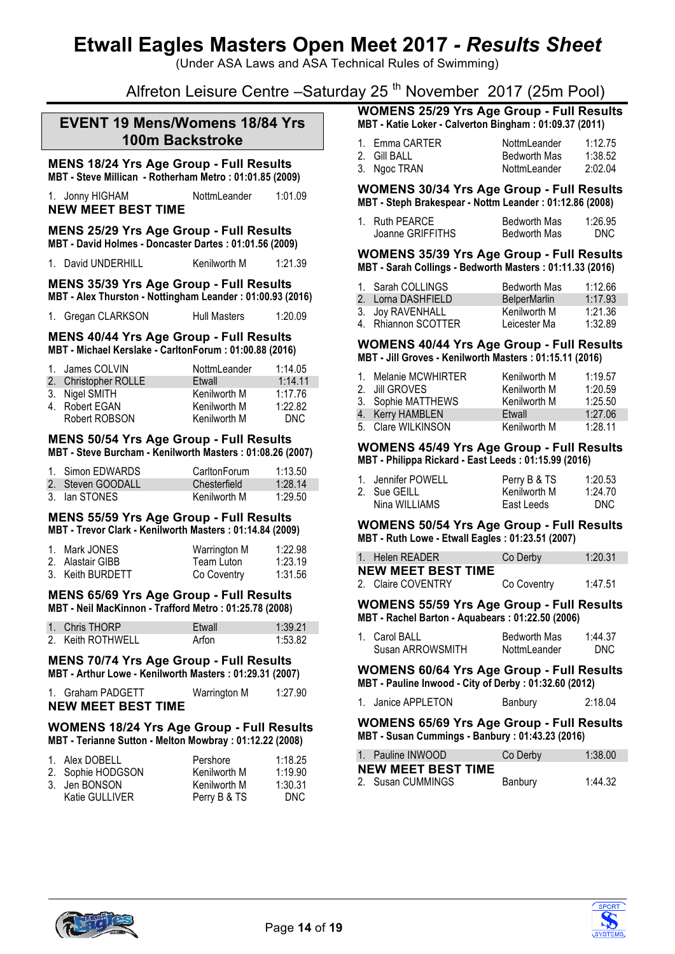(Under ASA Laws and ASA Technical Rules of Swimming)

Alfreton Leisure Centre –Saturday 25<sup>th</sup> November 2017 (25m Pool)

## **EVENT 19 Mens/Womens 18/84 Yrs 100m Backstroke**

#### **MENS 18/24 Yrs Age Group - Full Results MBT - Steve Millican - Rotherham Metro : 01:01.85 (2009)**

1. Jonny HIGHAM NottmLeander 1:01.09 **NEW MEET BEST TIME**

#### **MENS 25/29 Yrs Age Group - Full Results MBT - David Holmes - Doncaster Dartes : 01:01.56 (2009)**

1. David UNDERHILL Kenilworth M 1:21.39

#### **MENS 35/39 Yrs Age Group - Full Results MBT - Alex Thurston - Nottingham Leander : 01:00.93 (2016)**

| 1. Gregan CLARKSON | <b>Hull Masters</b> | 1:20.09 |
|--------------------|---------------------|---------|
|                    |                     |         |

#### **MENS 40/44 Yrs Age Group - Full Results MBT - Michael Kerslake - CarltonForum : 01:00.88 (2016)**

| 1. James COLVIN      | <b>NottmLeander</b> | 1:14.05 |
|----------------------|---------------------|---------|
| 2. Christopher ROLLE | Etwall              | 1:14.11 |
| 3. Nigel SMITH       | Kenilworth M        | 1:17.76 |
| 4. Robert EGAN       | Kenilworth M        | 1:22.82 |
| Robert ROBSON        | Kenilworth M        | DNC.    |

#### **MENS 50/54 Yrs Age Group - Full Results MBT - Steve Burcham - Kenilworth Masters : 01:08.26 (2007)**

| 1. Simon EDWARDS  | CarltonForum | 1:13.50 |
|-------------------|--------------|---------|
| 2. Steven GOODALL | Chesterfield | 1:28.14 |
| 3. Ian STONES     | Kenilworth M | 1:29.50 |

#### **MENS 55/59 Yrs Age Group - Full Results MBT - Trevor Clark - Kenilworth Masters : 01:14.84 (2009)**

| 1. Mark JONES    | Warrington M | 1:22.98 |
|------------------|--------------|---------|
| 2. Alastair GIBB | Team Luton   | 1:23.19 |
| 3. Keith BURDETT | Co Coventry  | 1:31.56 |

#### **MENS 65/69 Yrs Age Group - Full Results MBT - Neil MacKinnon - Trafford Metro : 01:25.78 (2008)**

| 1. Chris THORP    | Etwall | 1:39.21 |
|-------------------|--------|---------|
| 2. Keith ROTHWELL | Arfon  | 1:53.82 |

#### **MENS 70/74 Yrs Age Group - Full Results MBT - Arthur Lowe - Kenilworth Masters : 01:29.31 (2007)**

| 1. Graham PADGETT         | Warrington M | 1:27.90 |
|---------------------------|--------------|---------|
| <b>NEW MEET BEST TIME</b> |              |         |

#### **WOMENS 18/24 Yrs Age Group - Full Results MBT - Terianne Sutton - Melton Mowbray : 01:12.22 (2008)**

| 1. Alex DOBELL    | Pershore     | 1:18.25 |
|-------------------|--------------|---------|
| 2. Sophie HODGSON | Kenilworth M | 1:19.90 |
| 3. Jen BONSON     | Kenilworth M | 1:30.31 |
| Katie GULLIVER    | Perry B & TS | DNC.    |

#### **WOMENS 25/29 Yrs Age Group - Full Results MBT - Katie Loker - Calverton Bingham : 01:09.37 (2011)**

| 1. Emma CARTER | NottmLeander        | 1:12.75 |
|----------------|---------------------|---------|
| 2. Gill BALL   | <b>Bedworth Mas</b> | 1:38.52 |
| 3. Ngoc TRAN   | NottmLeander        | 2:02.04 |

#### **WOMENS 30/34 Yrs Age Group - Full Results MBT - Steph Brakespear - Nottm Leander : 01:12.86 (2008)**

| 1. Ruth PEARCE   | <b>Bedworth Mas</b> | 1:26.95    |
|------------------|---------------------|------------|
| Joanne GRIFFITHS | Bedworth Mas        | <b>DNC</b> |

#### **WOMENS 35/39 Yrs Age Group - Full Results MBT - Sarah Collings - Bedworth Masters : 01:11.33 (2016)**

| 1. Sarah COLLINGS   | <b>Bedworth Mas</b> | 1:12.66 |
|---------------------|---------------------|---------|
| 2. Lorna DASHFIELD  | <b>BelperMarlin</b> | 1:17.93 |
| 3. Joy RAVENHALL    | Kenilworth M        | 1:21.36 |
| 4. Rhiannon SCOTTER | Leicester Ma        | 1:32.89 |

#### **WOMENS 40/44 Yrs Age Group - Full Results MBT - Jill Groves - Kenilworth Masters : 01:15.11 (2016)**

| 1. Melanie MCWHIRTER | Kenilworth M | 1:19.57 |
|----------------------|--------------|---------|
| 2. Jill GROVES       | Kenilworth M | 1:20.59 |
| 3. Sophie MATTHEWS   | Kenilworth M | 1:25.50 |
| 4. Kerry HAMBLEN     | Etwall       | 1:27.06 |
| 5. Clare WILKINSON   | Kenilworth M | 1:28.11 |

#### **WOMENS 45/49 Yrs Age Group - Full Results MBT - Philippa Rickard - East Leeds : 01:15.99 (2016)**

| 1. Jennifer POWELL | Perry B & TS | 1:20.53 |
|--------------------|--------------|---------|
| 2. Sue GEILL       | Kenilworth M | 1:24.70 |
| Nina WILLIAMS      | East Leeds   | DNC.    |

**WOMENS 50/54 Yrs Age Group - Full Results MBT - Ruth Lowe - Etwall Eagles : 01:23.51 (2007)**

| 1. Helen READER           | Co Derby    | 1:20.31 |
|---------------------------|-------------|---------|
| <b>NEW MEET BEST TIME</b> |             |         |
| 2. Claire COVENTRY        | Co Coventry | 1:47.51 |

#### **WOMENS 55/59 Yrs Age Group - Full Results MBT - Rachel Barton - Aquabears : 01:22.50 (2006)**

| 1. Carol BALL    | <b>Bedworth Mas</b> | 1:44.37 |
|------------------|---------------------|---------|
| Susan ARROWSMITH | NottmLeander        | DNC.    |

**WOMENS 60/64 Yrs Age Group - Full Results MBT - Pauline Inwood - City of Derby : 01:32.60 (2012)**

| 1. Janice APPLETON |         | 2:18.04 |
|--------------------|---------|---------|
|                    | Banbury |         |
|                    |         |         |

#### **WOMENS 65/69 Yrs Age Group - Full Results MBT - Susan Cummings - Banbury : 01:43.23 (2016)**

| 1. Pauline INWOOD         | Co Derby | 1:38.00 |
|---------------------------|----------|---------|
| <b>NEW MEET BEST TIME</b> |          |         |
| 2. Susan CUMMINGS         | Banbury  | 1:44.32 |



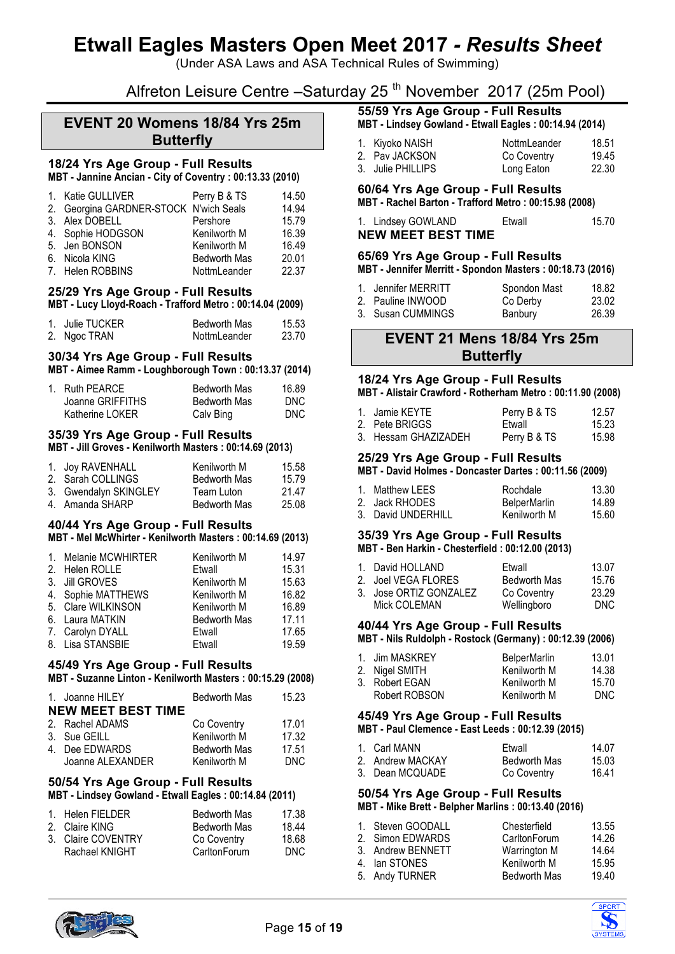(Under ASA Laws and ASA Technical Rules of Swimming)

# Alfreton Leisure Centre – Saturday 25<sup>th</sup> November 2017 (25m Pool)

# **EVENT 20 Womens 18/84 Yrs 25m Butterfly**

# **18/24 Yrs Age Group - Full Results**

**MBT - Jannine Ancian - City of Coventry : 00:13.33 (2010)**

| 1. Katie GULLIVER | Perry B & TS        | 14.50                                  |
|-------------------|---------------------|----------------------------------------|
|                   |                     | 14.94                                  |
| 3. Alex DOBELL    | Pershore            | 15.79                                  |
| 4. Sophie HODGSON | Kenilworth M        | 16.39                                  |
| 5. Jen BONSON     | Kenilworth M        | 16.49                                  |
| 6. Nicola KING    | <b>Bedworth Mas</b> | 20.01                                  |
| 7. Helen ROBBINS  | NottmLeander        | 22.37                                  |
|                   |                     | 2. Georgina GARDNER-STOCK N'wich Seals |

#### **25/29 Yrs Age Group - Full Results**

**MBT - Lucy Lloyd-Roach - Trafford Metro : 00:14.04 (2009)**

| 1. Julie TUCKER | <b>Bedworth Mas</b> | 15.53 |
|-----------------|---------------------|-------|
| 2. Ngoc TRAN    | NottmLeander        | 23.70 |

# **30/34 Yrs Age Group - Full Results**

**MBT - Aimee Ramm - Loughborough Town : 00:13.37 (2014)**

| 1. Ruth PEARCE   | Bedworth Mas | 16.89 |
|------------------|--------------|-------|
| Joanne GRIFFITHS | Bedworth Mas | DNC.  |
| Katherine LOKER  | Calv Bing    | DNC.  |

### **35/39 Yrs Age Group - Full Results**

**MBT - Jill Groves - Kenilworth Masters : 00:14.69 (2013)**

| 1. Joy RAVENHALL      | Kenilworth M        | 15.58 |
|-----------------------|---------------------|-------|
| 2. Sarah COLLINGS     | <b>Bedworth Mas</b> | 15.79 |
| 3. Gwendalyn SKINGLEY | Team Luton          | 21 47 |
| 4. Amanda SHARP       | <b>Bedworth Mas</b> | 25.08 |

#### **40/44 Yrs Age Group - Full Results MBT - Mel McWhirter - Kenilworth Masters : 00:14.69 (2013)**

| 1. Melanie MCWHIRTER | Kenilworth M        | 14.97 |
|----------------------|---------------------|-------|
| 2. Helen ROLLE       | Etwall              | 15.31 |
| 3. Jill GROVES       | Kenilworth M        | 15.63 |
| 4. Sophie MATTHEWS   | Kenilworth M        | 16.82 |
| 5. Clare WILKINSON   | Kenilworth M        | 16.89 |
| 6. Laura MATKIN      | <b>Bedworth Mas</b> | 17.11 |
| 7. Carolyn DYALL     | Etwall              | 17.65 |
| 8. Lisa STANSBIE     | Etwall              | 19.59 |

### **45/49 Yrs Age Group - Full Results**

**MBT - Suzanne Linton - Kenilworth Masters : 00:15.29 (2008)**

| 1. Joanne HILEY           | <b>Bedworth Mas</b> | 15.23 |
|---------------------------|---------------------|-------|
| <b>NEW MEET BEST TIME</b> |                     |       |
| 2. Rachel ADAMS           | Co Coventry         | 17.01 |
| 3. Sue GEILL              | Kenilworth M        | 17.32 |
| 4. Dee EDWARDS            | <b>Bedworth Mas</b> | 17.51 |
| Joanne ALEXANDER          | Kenilworth M        | DNC.  |

# **50/54 Yrs Age Group - Full Results**

**MBT - Lindsey Gowland - Etwall Eagles : 00:14.84 (2011)**

| 1. Helen FIELDER   | <b>Bedworth Mas</b> | 17.38 |
|--------------------|---------------------|-------|
| 2. Claire KING     | <b>Bedworth Mas</b> | 18.44 |
| 3. Claire COVENTRY | Co Coventry         | 18.68 |
| Rachael KNIGHT     | CarltonForum        | DNC.  |

# **55/59 Yrs Age Group - Full Results**

**MBT - Lindsey Gowland - Etwall Eagles : 00:14.94 (2014)**

| 1. Kiyoko NAISH   | NottmLeander | 18.51 |
|-------------------|--------------|-------|
| 2. Pav JACKSON    | Co Coventry  | 19.45 |
| 3. Julie PHILLIPS | Long Eaton   | 22.30 |

### **60/64 Yrs Age Group - Full Results**

**MBT - Rachel Barton - Trafford Metro : 00:15.98 (2008)**

| 1. Lindsey GOWLAND        | Ftwall | 15.70 |
|---------------------------|--------|-------|
| <b>NEW MEET BEST TIME</b> |        |       |

#### **65/69 Yrs Age Group - Full Results**

**MBT - Jennifer Merritt - Spondon Masters : 00:18.73 (2016)**

| 1. Jennifer MERRITT | Spondon Mast | 18.82 |
|---------------------|--------------|-------|
| 2. Pauline INWOOD   | Co Derby     | 23.02 |
| 3. Susan CUMMINGS   | Banbury      | 26.39 |

## **EVENT 21 Mens 18/84 Yrs 25m Butterfly**

#### **18/24 Yrs Age Group - Full Results**

**MBT - Alistair Crawford - Rotherham Metro : 00:11.90 (2008)**

| 1. Jamie KEYTE       | Perry B & TS | 12.57 |
|----------------------|--------------|-------|
| 2. Pete BRIGGS       | Etwall       | 15.23 |
| 3. Hessam GHAZIZADEH | Perry B & TS | 15.98 |

#### **25/29 Yrs Age Group - Full Results**

**MBT - David Holmes - Doncaster Dartes : 00:11.56 (2009)**

| 1. Matthew LEES    | Rochdale            | 13.30 |
|--------------------|---------------------|-------|
| 2. Jack RHODES     | <b>BelperMarlin</b> | 14.89 |
| 3. David UNDERHILL | Kenilworth M        | 15.60 |

# **35/39 Yrs Age Group - Full Results**

|  | MBT - Ben Harkin - Chesterfield: 00:12.00 (2013) |  |  |
|--|--------------------------------------------------|--|--|
|  |                                                  |  |  |

| 1. David HOLLAND       | Etwall              | 13.07 |
|------------------------|---------------------|-------|
| 2. Joel VEGA FLORES    | <b>Bedworth Mas</b> | 15.76 |
| 3. Jose ORTIZ GONZALEZ | Co Coventry         | 23.29 |
| Mick COLEMAN           | Wellingboro         | DNC.  |

## **40/44 Yrs Age Group - Full Results**

**MBT - Nils Ruldolph - Rostock (Germany) : 00:12.39 (2006)**

| 1. Jim MASKREY | <b>BelperMarlin</b> | 13.01 |
|----------------|---------------------|-------|
| 2. Nigel SMITH | Kenilworth M        | 14.38 |
| 3. Robert EGAN | Kenilworth M        | 15.70 |
| Robert ROBSON  | Kenilworth M        | DNC.  |

### **45/49 Yrs Age Group - Full Results**

**MBT - Paul Clemence - East Leeds : 00:12.39 (2015)**

| 1. Carl MANN     | Ftwall              | 14.07 |
|------------------|---------------------|-------|
| 2. Andrew MACKAY | <b>Bedworth Mas</b> | 15.03 |
| 3. Dean MCQUADE  | Co Coventry         | 16.41 |

#### **50/54 Yrs Age Group - Full Results MBT - Mike Brett - Belpher Marlins : 00:13.40 (2016)**

| 1. Steven GOODALL | Chesterfield        | 13.55 |
|-------------------|---------------------|-------|
| 2. Simon EDWARDS  | CarltonForum        | 14.26 |
| 3. Andrew BENNETT | Warrington M        | 14.64 |
| 4. Ian STONES     | Kenilworth M        | 15.95 |
| 5. Andy TURNER    | <b>Bedworth Mas</b> | 19.40 |
|                   |                     |       |



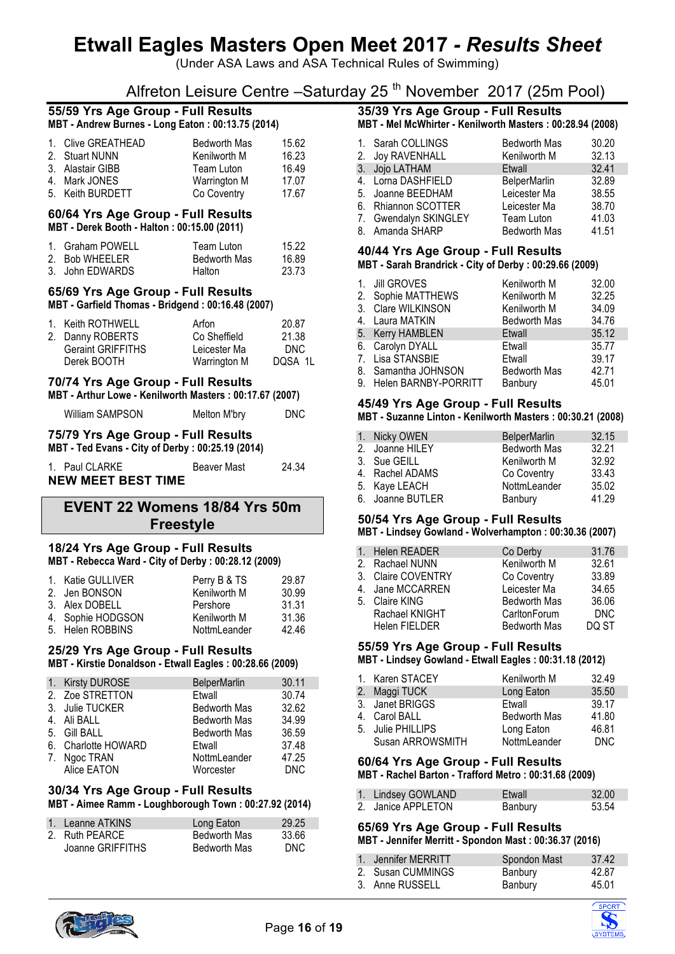(Under ASA Laws and ASA Technical Rules of Swimming)

# Alfreton Leisure Centre –Saturday 25<sup>th</sup> November 2017 (25m Pool)

#### **55/59 Yrs Age Group - Full Results MBT - Andrew Burnes - Long Eaton : 00:13.75 (2014)**

| 1. Clive GREATHEAD | <b>Bedworth Mas</b> | 15.62 |
|--------------------|---------------------|-------|
| 2. Stuart NUNN     | Kenilworth M        | 16.23 |
| 3. Alastair GIBB   | Team Luton          | 16.49 |
| 4. Mark JONES      | Warrington M        | 17.07 |
| 5. Keith BURDETT   | Co Coventry         | 17.67 |

### **60/64 Yrs Age Group - Full Results**

**MBT - Derek Booth - Halton : 00:15.00 (2011)**

| 1. Graham POWELL | Team Luton    | 15.22 |
|------------------|---------------|-------|
| 2. Bob WHEELER   | Bedworth Mas  | 16.89 |
| 3. John EDWARDS  | <b>Halton</b> | 23.73 |

#### **65/69 Yrs Age Group - Full Results MBT - Garfield Thomas - Bridgend : 00:16.48 (2007)**

| 1. Keith ROTHWELL        | Arfon        | 20.87   |
|--------------------------|--------------|---------|
| 2. Danny ROBERTS         | Co Sheffield | 21.38   |
| <b>Geraint GRIFFITHS</b> | Leicester Ma | DNC.    |
| Derek BOOTH              | Warrington M | DOSA 1L |

## **70/74 Yrs Age Group - Full Results**

**MBT - Arthur Lowe - Kenilworth Masters : 00:17.67 (2007)**

William SAMPSON Melton M'bry DNC

#### **75/79 Yrs Age Group - Full Results MBT - Ted Evans - City of Derby : 00:25.19 (2014)**

| 1. Paul CLARKE            | <b>Beaver Mast</b> | 24.34 |
|---------------------------|--------------------|-------|
| <b>NEW MEET BEST TIME</b> |                    |       |

# **EVENT 22 Womens 18/84 Yrs 50m Freestyle**

#### **18/24 Yrs Age Group - Full Results MBT - Rebecca Ward - City of Derby : 00:28.12 (2009)**

| 1. Katie GULLIVER | Perry B & TS | 29.87 |
|-------------------|--------------|-------|
| 2. Jen BONSON     | Kenilworth M | 30.99 |
| 3. Alex DOBELL    | Pershore     | 31.31 |
| 4. Sophie HODGSON | Kenilworth M | 31.36 |
| 5. Helen ROBBINS  | NottmLeander | 42.46 |

### **25/29 Yrs Age Group - Full Results**

**MBT - Kirstie Donaldson - Etwall Eagles : 00:28.66 (2009)**

| 1. Kirsty DUROSE    | <b>BelperMarlin</b> | 30.11      |
|---------------------|---------------------|------------|
| 2. Zoe STRETTON     | Etwall              | 30.74      |
| 3. Julie TUCKER     | <b>Bedworth Mas</b> | 32.62      |
| 4. Ali BALL         | <b>Bedworth Mas</b> | 34.99      |
| 5. Gill BALL        | <b>Bedworth Mas</b> | 36.59      |
| 6. Charlotte HOWARD | Etwall              | 37.48      |
| 7. Ngoc TRAN        | NottmLeander        | 47.25      |
| Alice EATON         | Worcester           | <b>DNC</b> |

### **30/34 Yrs Age Group - Full Results**

**MBT - Aimee Ramm - Loughborough Town : 00:27.92 (2014)**

| 1. Leanne ATKINS | Long Eaton          | 29.25 |
|------------------|---------------------|-------|
| 2. Ruth PEARCE   | <b>Bedworth Mas</b> | 33.66 |
| Joanne GRIFFITHS | <b>Bedworth Mas</b> | DNC.  |

# **35/39 Yrs Age Group - Full Results**

**MBT - Mel McWhirter - Kenilworth Masters : 00:28.94 (2008)**

| 1. Sarah COLLINGS<br>2. Joy RAVENHALL | <b>Bedworth Mas</b><br>Kenilworth M | 30.20<br>32.13 |
|---------------------------------------|-------------------------------------|----------------|
| 3. Jojo LATHAM                        | Etwall                              | 32.41          |
| 4. Lorna DASHFIELD                    | BelperMarlin                        | 32.89          |
| 5. Joanne BEEDHAM                     | Leicester Ma                        | 38.55          |
| 6. Rhiannon SCOTTER                   | Leicester Ma                        | 38.70          |
| 7. Gwendalyn SKINGLEY                 | Team Luton                          | 41.03          |
| 8. Amanda SHARP                       | <b>Bedworth Mas</b>                 | 41.51          |

#### **40/44 Yrs Age Group - Full Results MBT - Sarah Brandrick - City of Derby : 00:29.66 (2009)**

| 1. Jill GROVES          | Kenilworth M        | 32.00 |
|-------------------------|---------------------|-------|
| 2. Sophie MATTHEWS      | Kenilworth M        | 32.25 |
| 3. Clare WILKINSON      | Kenilworth M        | 34.09 |
| 4. Laura MATKIN         | <b>Bedworth Mas</b> | 34.76 |
| 5. Kerry HAMBLEN        | Etwall              | 35.12 |
| 6. Carolyn DYALL        | Etwall              | 35.77 |
| 7. Lisa STANSBIE        | Etwall              | 39.17 |
| 8. Samantha JOHNSON     | <b>Bedworth Mas</b> | 42.71 |
| 9. Helen BARNBY-PORRITT | Banbury             | 45.01 |
|                         |                     |       |

## **45/49 Yrs Age Group - Full Results**

#### **MBT - Suzanne Linton - Kenilworth Masters : 00:30.21 (2008)**

| 1. Nicky OWEN    | <b>BelperMarlin</b> | 32.15 |
|------------------|---------------------|-------|
| 2. Joanne HILEY  | <b>Bedworth Mas</b> | 32.21 |
| 3. Sue GEILL     | Kenilworth M        | 32.92 |
| 4. Rachel ADAMS  | Co Coventry         | 33.43 |
| 5. Kaye LEACH    | NottmLeander        | 35.02 |
| 6. Joanne BUTLER | Banbury             | 41.29 |

#### **50/54 Yrs Age Group - Full Results**

#### **MBT - Lindsey Gowland - Wolverhampton : 00:30.36 (2007)**

| 1. Helen READER      | Co Derby            | 31.76      |
|----------------------|---------------------|------------|
| 2. Rachael NUNN      | Kenilworth M        | 32.61      |
| 3. Claire COVENTRY   | Co Coventry         | 33.89      |
| 4. Jane MCCARREN     | Leicester Ma        | 34.65      |
| 5. Claire KING       | <b>Bedworth Mas</b> | 36.06      |
| Rachael KNIGHT       | CarltonForum        | <b>DNC</b> |
| <b>Helen FIELDER</b> | <b>Bedworth Mas</b> | DQ ST      |

#### **55/59 Yrs Age Group - Full Results MBT - Lindsey Gowland - Etwall Eagles : 00:31.18 (2012)**

| 1. Karen STACEY   | Kenilworth M        | 32.49 |
|-------------------|---------------------|-------|
| 2. Maggi TUCK     | Long Eaton          | 35.50 |
| 3. Janet BRIGGS   | Etwall              | 39.17 |
| 4. Carol BALL     | <b>Bedworth Mas</b> | 41.80 |
| 5. Julie PHILLIPS | Long Eaton          | 46.81 |
| Susan ARROWSMITH  | NottmLeander        | DNC.  |

#### **60/64 Yrs Age Group - Full Results MBT - Rachel Barton - Trafford Metro : 00:31.68 (2009)**

| 1. Lindsey GOWLAND | Etwall  | 32.00 |
|--------------------|---------|-------|
| 2. Janice APPLETON | Banbury | 53.54 |

|       |  |  | 65/69 Yrs Age Group - Full Results |  |
|-------|--|--|------------------------------------|--|
| ----- |  |  |                                    |  |

#### **MBT - Jennifer Merritt - Spondon Mast : 00:36.37 (2016)**

| 1. Jennifer MERRITT | Spondon Mast | 37.42 |
|---------------------|--------------|-------|
| 2. Susan CUMMINGS   | Banbury      | 42.87 |
| 3. Anne RUSSELL     | Banbury      | 45.01 |



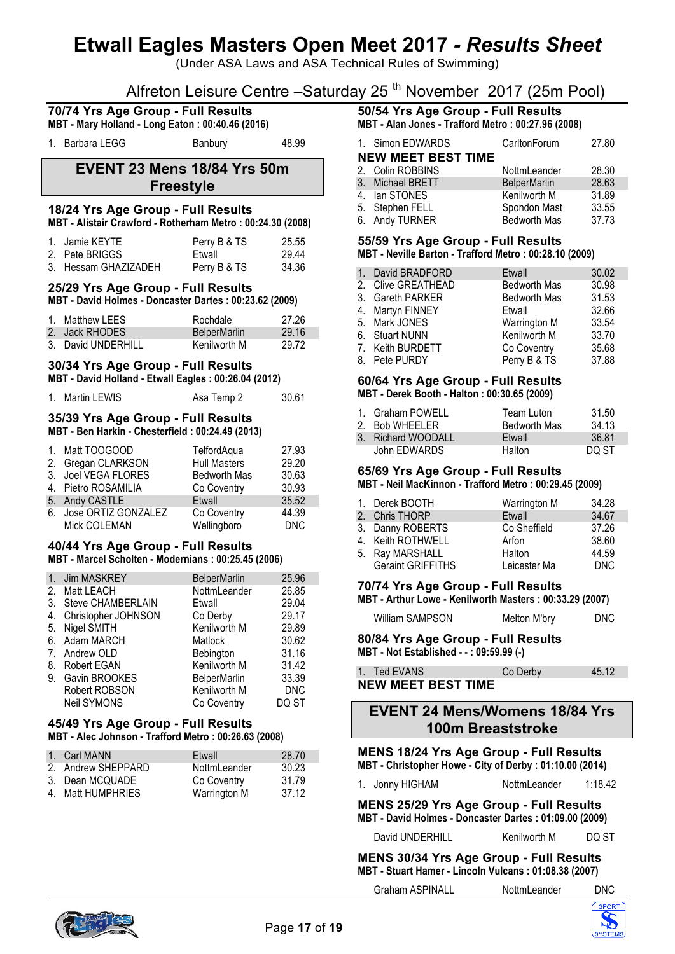(Under ASA Laws and ASA Technical Rules of Swimming)

# Alfreton Leisure Centre –Saturday 25 th November 2017 (25m Pool)

|                                    | $\frac{1}{2}$ order Ediodi of Odition                                                            |            | $\frac{1}{2}$ and $\frac{1}{2}$ incrember $\frac{1}{2}$ $\frac{1}{2}$ $\frac{1}{2}$       |                                     |                |
|------------------------------------|--------------------------------------------------------------------------------------------------|------------|-------------------------------------------------------------------------------------------|-------------------------------------|----------------|
|                                    | 70/74 Yrs Age Group - Full Results<br>MBT - Mary Holland - Long Eaton: 00:40.46 (2016)           |            | 50/54 Yrs Age Group - Full Results<br>MBT - Alan Jones - Trafford Metro : 00:27.96 (2008) |                                     |                |
| 1. Barbara LEGG                    | Banbury                                                                                          | 48.99      | 1. Simon EDWARDS<br><b>NEW MEET BEST TIME</b>                                             | CarltonForum                        | 27.80          |
|                                    | <b>EVENT 23 Mens 18/84 Yrs 50m</b>                                                               |            | 2. Colin ROBBINS                                                                          | NottmLeander                        | 28.30          |
|                                    |                                                                                                  |            | 3. Michael BRETT                                                                          | <b>BelperMarlin</b>                 | 28.63          |
|                                    | <b>Freestyle</b>                                                                                 |            | 4. Ian STONES                                                                             | Kenilworth M                        | 31.89          |
|                                    | 18/24 Yrs Age Group - Full Results<br>MBT - Alistair Crawford - Rotherham Metro: 00:24.30 (2008) |            | 5. Stephen FELL<br>6. Andy TURNER                                                         | Spondon Mast<br><b>Bedworth Mas</b> | 33.55<br>37.73 |
| 1. Jamie KEYTE                     | Perry B & TS                                                                                     | 25.55      | 55/59 Yrs Age Group - Full Results                                                        |                                     |                |
| 2. Pete BRIGGS                     | Etwall                                                                                           | 29.44      | MBT - Neville Barton - Trafford Metro: 00:28.10 (2009)                                    |                                     |                |
| 3. Hessam GHAZIZADEH               | Perry B & TS                                                                                     | 34.36      |                                                                                           |                                     |                |
|                                    |                                                                                                  |            | 1. David BRADFORD                                                                         | Etwall                              | 30.02          |
|                                    | 25/29 Yrs Age Group - Full Results                                                               |            | 2. Clive GREATHEAD                                                                        | <b>Bedworth Mas</b>                 | 30.98          |
|                                    | MBT - David Holmes - Doncaster Dartes: 00:23.62 (2009)                                           |            | 3. Gareth PARKER                                                                          | <b>Bedworth Mas</b>                 | 31.53          |
|                                    |                                                                                                  |            | 4. Martyn FINNEY                                                                          | Etwall                              | 32.66          |
| 1. Matthew LEES                    | Rochdale                                                                                         | 27.26      | 5. Mark JONES                                                                             | Warrington M                        | 33.54          |
| 2. Jack RHODES                     | <b>BelperMarlin</b>                                                                              | 29.16      | 6. Stuart NUNN                                                                            | Kenilworth M                        | 33.70          |
| 3. David UNDERHILL                 | Kenilworth M                                                                                     | 29.72      | 7. Keith BURDETT                                                                          | Co Coventry                         | 35.68          |
|                                    | 30/34 Yrs Age Group - Full Results                                                               |            | 8. Pete PURDY                                                                             | Perry B & TS                        | 37.88          |
|                                    | MBT - David Holland - Etwall Eagles: 00:26.04 (2012)                                             |            |                                                                                           |                                     |                |
|                                    |                                                                                                  |            | 60/64 Yrs Age Group - Full Results                                                        |                                     |                |
| 1. Martin LEWIS                    | Asa Temp 2                                                                                       | 30.61      | MBT - Derek Booth - Halton: 00:30.65 (2009)                                               |                                     |                |
| 35/39 Yrs Age Group - Full Results |                                                                                                  |            | 1. Graham POWELL<br>2. Bob WHEELER                                                        | Team Luton<br><b>Bedworth Mas</b>   | 31.50<br>34.13 |
|                                    | MBT - Ben Harkin - Chesterfield: 00:24.49 (2013)                                                 |            | 3. Richard WOODALL                                                                        | Etwall                              | 36.81          |
| Matt TOOGOOD<br>1.                 | TelfordAqua                                                                                      | 27.93      | John EDWARDS                                                                              | Halton                              | DQ ST          |
| 2. Gregan CLARKSON                 | <b>Hull Masters</b>                                                                              | 29.20      |                                                                                           |                                     |                |
| 3. Joel VEGA FLORES                | Bedworth Mas                                                                                     | 30.63      | 65/69 Yrs Age Group - Full Results                                                        |                                     |                |
| 4. Pietro ROSAMILIA                | Co Coventry                                                                                      | 30.93      | MBT - Neil MacKinnon - Trafford Metro: 00:29.45 (2009)                                    |                                     |                |
| 5. Andy CASTLE                     | Etwall                                                                                           | 35.52      | 1. Derek BOOTH                                                                            | <b>Warrington M</b>                 | 34.28          |
| 6. Jose ORTIZ GONZALEZ             | Co Coventry                                                                                      | 44.39      | 2. Chris THORP                                                                            | Etwall                              | 34.67          |
| Mick COLEMAN                       | Wellingboro                                                                                      | <b>DNC</b> | 3. Danny ROBERTS                                                                          | Co Sheffield                        | 37.26          |
|                                    |                                                                                                  |            | 4. Keith ROTHWELL                                                                         | Arfon                               | 38.60          |
|                                    | 40/44 Yrs Age Group - Full Results                                                               |            | 5. Ray MARSHALL                                                                           | Halton                              | 44.59          |
|                                    | MBT - Marcel Scholten - Modernians: 00:25.45 (2006)                                              |            | <b>Geraint GRIFFITHS</b>                                                                  | Leicester Ma                        | <b>DNC</b>     |
| 1. Jim MASKREY                     | <b>BelperMarlin</b>                                                                              | 25.96      |                                                                                           |                                     |                |
| 2. Matt LEACH                      | NottmLeander                                                                                     | 26.85      | 70/74 Yrs Age Group - Full Results                                                        |                                     |                |
| 3. Steve CHAMBERLAIN               | Etwall                                                                                           | 29.04      | MBT - Arthur Lowe - Kenilworth Masters: 00:33.29 (2007)                                   |                                     |                |
| 4. Christopher JOHNSON             | Co Derby                                                                                         | 29.17      |                                                                                           |                                     |                |
| Nigel SMITH<br>5.                  | Kenilworth M                                                                                     | 29.89      | William SAMPSON                                                                           | Melton M'bry                        | <b>DNC</b>     |
| Adam MARCH<br>ნ.                   | Matlock                                                                                          | 30.62      | 80/84 Yrs Age Group - Full Results                                                        |                                     |                |
| 7. Andrew OLD                      | Bebington                                                                                        | 31.16      | MBT - Not Established - -: 09:59.99 (-)                                                   |                                     |                |
| 8. Robert EGAN                     | Kenilworth M                                                                                     | 31.42      |                                                                                           |                                     |                |
| 9. Gavin BROOKES                   | <b>BelperMarlin</b>                                                                              | 33.39      | 1. Ted EVANS                                                                              | Co Derby                            | 45.12          |
|                                    | Kenilworth M                                                                                     | <b>DNC</b> | <b>NEW MEET BEST TIME</b>                                                                 |                                     |                |
| Robert ROBSON<br>Neil SYMONS       | Co Coventry                                                                                      | DQ ST      |                                                                                           |                                     |                |
|                                    |                                                                                                  |            | <b>EVENT 24 Mens/Womens 18/84 Yrs</b>                                                     |                                     |                |
|                                    | 45/49 Yrs Age Group - Full Results<br>MBT - Alec Johnson - Trafford Metro: 00:26.63 (2008)       |            |                                                                                           | <b>100m Breaststroke</b>            |                |
|                                    |                                                                                                  |            | <b>MENS 18/24 Yrs Age Group - Full Results</b>                                            |                                     |                |
| 1. Carl MANN                       | Etwall                                                                                           | 28.70      |                                                                                           |                                     |                |
| Andrew SHEPPARD                    | Nottml eander                                                                                    | 30.23      | MBT - Christopher Howe - City of Derby : 01:10.00 (2014)                                  |                                     |                |

| <b>I. VAILIVIAIN</b> | ∟wa⊪         | <b>LU.IV</b> |
|----------------------|--------------|--------------|
| 2. Andrew SHEPPARD   | NottmLeander | 30.23        |
| 3. Dean MCQUADE      | Co Coventry  | 31.79        |
| 4. Matt HUMPHRIES    | Warrington M | 37.12        |

## 1. Jonny HIGHAM NottmLeander 1:18.42

**MENS 25/29 Yrs Age Group - Full Results MBT - David Holmes - Doncaster Dartes : 01:09.00 (2009)**

David UNDERHILL Kenilworth M DQ ST

**MENS 30/34 Yrs Age Group - Full Results MBT - Stuart Hamer - Lincoln Vulcans : 01:08.38 (2007)**

Graham ASPINALL NottmLeander DNC



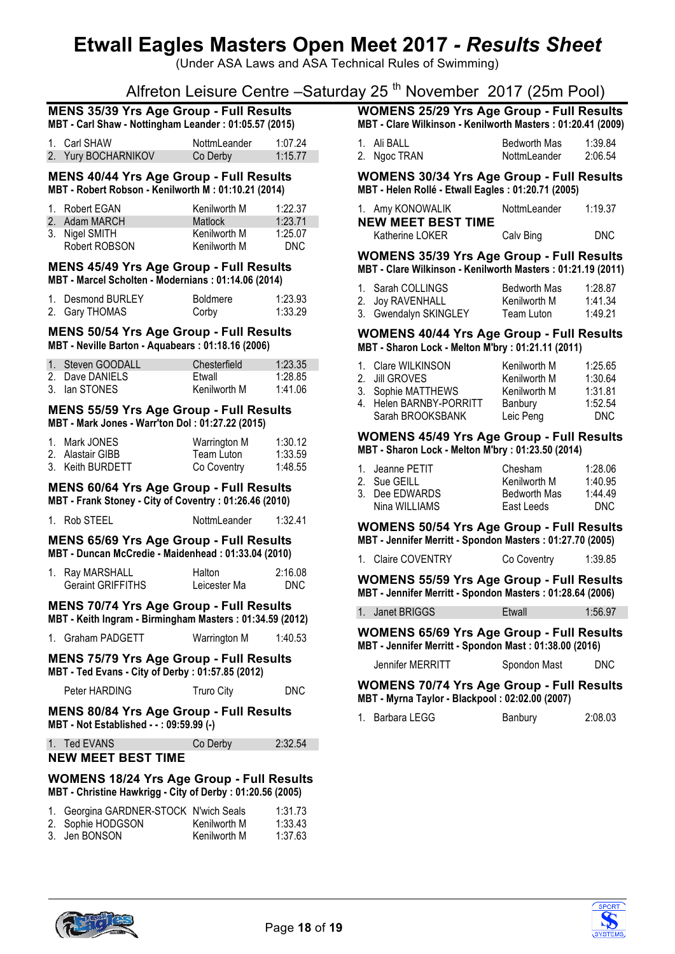(Under ASA Laws and ASA Technical Rules of Swimming)

# Alfreton Leisure Centre –Saturday 25<sup>th</sup> November 2017 (25m Pool)

| <b>MENS 35/39 Yrs Age Group - Full Results</b>        |  |
|-------------------------------------------------------|--|
| MBT - Carl Shaw - Nottingham Leander: 01:05.57 (2015) |  |

| 1. Carl SHAW        | NottmLeander | 1:07.24 |
|---------------------|--------------|---------|
| 2. Yury BOCHARNIKOV | Co Derby     | 1:15.77 |

#### **MENS 40/44 Yrs Age Group - Full Results MBT - Robert Robson - Kenilworth M : 01:10.21 (2014)**

| 1. Robert EGAN | Kenilworth M | 1:22.37 |
|----------------|--------------|---------|
| 2. Adam MARCH  | Matlock      | 1:23.71 |
| 3. Nigel SMITH | Kenilworth M | 1:25.07 |
| Robert ROBSON  | Kenilworth M | DNC.    |

#### **MENS 45/49 Yrs Age Group - Full Results MBT - Marcel Scholten - Modernians : 01:14.06 (2014)**

| 1. Desmond BURLEY | <b>Boldmere</b> | 1:23.93 |
|-------------------|-----------------|---------|
| 2. Gary THOMAS    | Corby           | 1:33.29 |

**MENS 50/54 Yrs Age Group - Full Results**

**MBT - Neville Barton - Aquabears : 01:18.16 (2006)**

| 1. Steven GOODALL | Chesterfield | 1:23.35 |
|-------------------|--------------|---------|
| 2. Dave DANIELS   | Ftwall       | 1:28.85 |
| 3. Ian STONES     | Kenilworth M | 1:41.06 |

#### **MENS 55/59 Yrs Age Group - Full Results MBT - Mark Jones - Warr'ton Dol : 01:27.22 (2015)**

| 1. Mark JONES    | Warrington M | 1:30.12 |
|------------------|--------------|---------|
| 2. Alastair GIBB | Team Luton   | 1:33.59 |
| 3. Keith BURDETT | Co Coventry  | 1:48.55 |

#### **MENS 60/64 Yrs Age Group - Full Results MBT - Frank Stoney - City of Coventry : 01:26.46 (2010)**

| 1. Rob STEEL | NottmLeander | 1:32.41 |
|--------------|--------------|---------|
|              |              |         |

#### **MENS 65/69 Yrs Age Group - Full Results MBT - Duncan McCredie - Maidenhead : 01:33.04 (2010)**

| 1. Ray MARSHALL          | Halton       | 2:16.08 |
|--------------------------|--------------|---------|
| <b>Geraint GRIFFITHS</b> | Leicester Ma | DNC     |

#### **MENS 70/74 Yrs Age Group - Full Results MBT - Keith Ingram - Birmingham Masters : 01:34.59 (2012)**

| 1. Graham PADGETT | Warrington M | 1:40.53 |
|-------------------|--------------|---------|
|                   |              |         |

#### **MENS 75/79 Yrs Age Group - Full Results MBT - Ted Evans - City of Derby : 01:57.85 (2012)**

Peter HARDING Truro City DNC

**MENS 80/84 Yrs Age Group - Full Results MBT - Not Established - - : 09:59.99 (-)**

| 1. Ted EVANS | Co Derby | 2:32.54 |
|--------------|----------|---------|
|              |          |         |

## **NEW MEET BEST TIME**

#### **WOMENS 18/24 Yrs Age Group - Full Results MBT - Christine Hawkrigg - City of Derby : 01:20.56 (2005)**

| 1. Georgina GARDNER-STOCK N'wich Seals |              | 1:31.73 |
|----------------------------------------|--------------|---------|
| 2. Sophie HODGSON                      | Kenilworth M | 1:33.43 |
| 3. Jen BONSON                          | Kenilworth M | 1:37.63 |

| <b>WOMENS 25/29 Yrs Age Group - Full Results</b>            |  |  |
|-------------------------------------------------------------|--|--|
| MBT - Clare Wilkinson - Kenilworth Masters: 01:20.41 (2009) |  |  |

| 1. Ali BALL  | <b>Bedworth Mas</b> | 1:39.84 |
|--------------|---------------------|---------|
| 2. Ngoc TRAN | NottmLeander        | 2:06.54 |

**WOMENS 30/34 Yrs Age Group - Full Results MBT - Helen Rollé - Etwall Eagles : 01:20.71 (2005)**

| 1. Amy KONOWALIK          | NottmLeander | 1:19.37 |
|---------------------------|--------------|---------|
| <b>NEW MEET BEST TIME</b> |              |         |
| Katherine LOKER           | Calv Bing    | DNC.    |

#### **WOMENS 35/39 Yrs Age Group - Full Results MBT - Clare Wilkinson - Kenilworth Masters : 01:21.19 (2011)**

| 1. Sarah COLLINGS     | <b>Bedworth Mas</b> | 1:28.87 |
|-----------------------|---------------------|---------|
| 2. Joy RAVENHALL      | Kenilworth M        | 1:41.34 |
| 3. Gwendalyn SKINGLEY | Team Luton          | 1:49.21 |

**WOMENS 40/44 Yrs Age Group - Full Results MBT - Sharon Lock - Melton M'bry : 01:21.11 (2011)**

| 1. Clare WILKINSON      | Kenilworth M | 1:25.65 |
|-------------------------|--------------|---------|
| 2. Jill GROVES          | Kenilworth M | 1:30.64 |
| 3. Sophie MATTHEWS      | Kenilworth M | 1:31.81 |
| 4. Helen BARNBY-PORRITT | Banbury      | 1:52.54 |
| Sarah BROOKSBANK        | Leic Peng    |         |

#### **WOMENS 45/49 Yrs Age Group - Full Results MBT - Sharon Lock - Melton M'bry : 01:23.50 (2014)**

| 1. Jeanne PETIT | Chesham             | 1:28.06 |
|-----------------|---------------------|---------|
| 2. Sue GEILL    | Kenilworth M        | 1:40.95 |
| 3. Dee EDWARDS  | <b>Bedworth Mas</b> | 1:44.49 |
| Nina WILLIAMS   | East Leeds          | DNC.    |

**WOMENS 50/54 Yrs Age Group - Full Results MBT - Jennifer Merritt - Spondon Masters : 01:27.70 (2005)**

|  |  | 1. Claire COVENTRY | Co Coventry | 1:39.85 |
|--|--|--------------------|-------------|---------|
|--|--|--------------------|-------------|---------|

**WOMENS 55/59 Yrs Age Group - Full Results MBT - Jennifer Merritt - Spondon Masters : 01:28.64 (2006)**

| 1. Janet BRIGGS | Etwall | 1:56.97 |
|-----------------|--------|---------|

**WOMENS 65/69 Yrs Age Group - Full Results MBT - Jennifer Merritt - Spondon Mast : 01:38.00 (2016)**

| Jennifer MERRITT | Spondon Mast | DNC. |
|------------------|--------------|------|
|                  |              |      |

**WOMENS 70/74 Yrs Age Group - Full Results MBT - Myrna Taylor - Blackpool : 02:02.00 (2007)**

|  | 1. Barbara LEGG | Banbury | 2:08.03 |
|--|-----------------|---------|---------|
|--|-----------------|---------|---------|